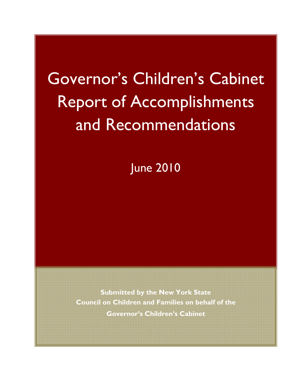# Governor's Children's Cabinet Report of Accomplishments and Recommendations

June 2010

**Submitted by the New York State Council on Children and Families on behalf of the Governor's Children's Cabinet**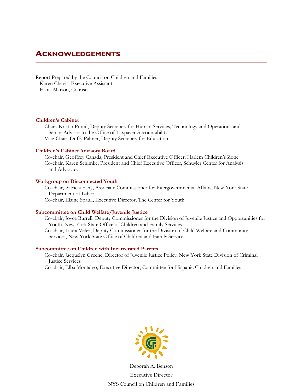# **ACKNOWLEDGEMENTS**

Report Prepared by the Council on Children and Families Karen Chavis, Executive Assistant Elana Marton, Counsel

#### **Children's Cabinet**

Chair, Kristin Proud, Deputy Secretary for Human Services, Technology and Operations and Senior Advisor to the Office of Taxpayer Accountability Vice-Chair, Duffy Palmer, Deputy Secretary for Education

### **Children's Cabinet Advisory Board**

Co-chair, Geoffrey Canada, President and Chief Executive Officer, Harlem Children's Zone Co-chair, Karen Schimke, President and Chief Executive Officer, Schuyler Center for Analysis and Advocacy

### **Workgroup on Disconnected Youth**

Co-chair, Patricia Fahy, Associate Commissioner for Intergovernmental Affairs, New York State Department of Labor Co-chair, Elaine Spaull, Executive Director, The Center for Youth

### **Subcommittee on Child Welfare/Juvenile Justice**

Co-chair, Joyce Burrell, Deputy Commissioner for the Division of Juvenile Justice and Opportunities for Youth, New York State Office of Children and Family Services Co-chair, Laura Velez, Deputy Commissioner for the Division of Child Welfare and Community Services, New York State Office of Children and Family Services

#### **Subcommittee on Children with Incarcerated Parents**

Co-chair, Jacquelyn Greene, Director of Juvenile Justice Policy, New York State Division of Criminal Justice Services

Co-chair, Elba Montalvo, Executive Director, Committee for Hispanic Children and Families



Deborah A. Benson Executive Director NYS Council on Children and Families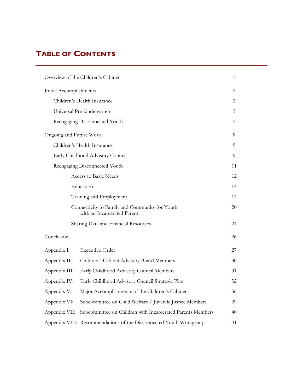# **TABLE OF CONTENTS**

| Overview of the Children's Cabinet   |                                                                               |                |  |  |
|--------------------------------------|-------------------------------------------------------------------------------|----------------|--|--|
| Initial Accomplishments              |                                                                               | 2              |  |  |
|                                      | Children's Health Insurance                                                   | $\overline{2}$ |  |  |
|                                      | Universal Pre-kindergarten                                                    | 3              |  |  |
|                                      | Reengaging Disconnected Youth                                                 | 5              |  |  |
| Ongoing and Future Work              |                                                                               | 9              |  |  |
|                                      | Children's Health Insurance                                                   | 9              |  |  |
|                                      | Early Childhood Advisory Council                                              | 9              |  |  |
|                                      | Reengaging Disconnected Youth                                                 | 11             |  |  |
|                                      | Access to Basic Needs                                                         | 12             |  |  |
|                                      | Education                                                                     | 14             |  |  |
|                                      | Training and Employment                                                       | 17             |  |  |
|                                      | Connectivity to Family and Community for Youth<br>with an Incarcerated Parent |                |  |  |
| Sharing Data and Financial Resources |                                                                               |                |  |  |
| Conclusion                           |                                                                               | 26             |  |  |
| Appendix I:                          | <b>Executive Order</b>                                                        | 27             |  |  |
| Appendix II:                         | Children's Cabinet Advisory Board Members                                     | 30             |  |  |
| Appendix III:                        | Early Childhood Advisory Council Members                                      | 31             |  |  |
| Appendix IV:                         | Early Childhood Advisory Council Strategic Plan                               | 32             |  |  |
| Appendix V:                          | Major Accomplishments of the Children's Cabinet                               | 36             |  |  |
| Appendix VI:                         | Subcommittee on Child Welfare / Juvenile Justice Members                      | 39             |  |  |
| Appendix VII:                        | Subcommittee on Children with Incarcerated Parents Members                    | 40             |  |  |
|                                      | Appendix VIII: Recommendations of the Disconnected Youth Workgroup            | 41             |  |  |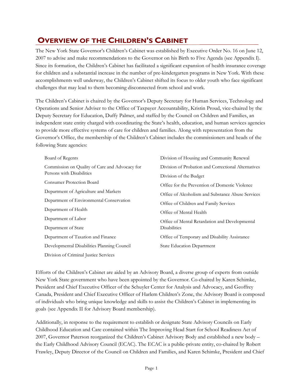# **OVERVIEW OF THE CHILDREN'S CABINET**

The New York State Governor's Children's Cabinet was established by Executive Order No. 16 on June 12, 2007 to advise and make recommendations to the Governor on his Birth to Five Agenda (see Appendix I). Since its formation, the Children's Cabinet has facilitated a significant expansion of health insurance coverage for children and a substantial increase in the number of pre-kindergarten programs in New York. With these accomplishments well underway, the Children's Cabinet shifted its focus to older youth who face significant challenges that may lead to them becoming disconnected from school and work.

The Children's Cabinet is chaired by the Governor's Deputy Secretary for Human Services, Technology and Operations and Senior Adviser to the Office of Taxpayer Accountability, Kristin Proud, vice-chaired by the Deputy Secretary for Education, Duffy Palmer, and staffed by the Council on Children and Families, an independent state entity charged with coordinating the State's health, education, and human services agencies to provide more effective systems of care for children and families. Along with representation from the Governor's Office, the membership of the Children's Cabinet includes the commissioners and heads of the following State agencies:

| Board of Regents                               | Division of Housing and Community Renewal           |  |  |
|------------------------------------------------|-----------------------------------------------------|--|--|
| Commission on Quality of Care and Advocacy for | Division of Probation and Correctional Alternatives |  |  |
| Persons with Disabilities                      | Division of the Budget                              |  |  |
| <b>Consumer Protection Board</b>               | Office for the Prevention of Domestic Violence      |  |  |
| Department of Agriculture and Markets          | Office of Alcoholism and Substance Abuse Services   |  |  |
| Department of Environmental Conservation       | Office of Children and Family Services              |  |  |
| Department of Health                           | Office of Mental Health                             |  |  |
| Department of Labor                            | Office of Mental Retardation and Developmental      |  |  |
| Department of State                            | <b>Disabilities</b>                                 |  |  |
| Department of Taxation and Finance             | Office of Temporary and Disability Assistance       |  |  |
| Developmental Disabilities Planning Council    | <b>State Education Department</b>                   |  |  |
| Division of Criminal Justice Services          |                                                     |  |  |

Efforts of the Children's Cabinet are aided by an Advisory Board, a diverse group of experts from outside New York State government who have been appointed by the Governor. Co-chaired by Karen Schimke, President and Chief Executive Officer of the Schuyler Center for Analysis and Advocacy, and Geoffrey Canada, President and Chief Executive Officer of Harlem Children's Zone, the Advisory Board is composed of individuals who bring unique knowledge and skills to assist the Children's Cabinet in implementing its goals (see Appendix II for Advisory Board membership).

Additionally, in response to the requirement to establish or designate State Advisory Councils on Early Childhood Education and Care contained within The Improving Head Start for School Readiness Act of 2007, Governor Paterson reorganized the Children's Cabinet Advisory Body and established a new body – the Early Childhood Advisory Council (ECAC). The ECAC is a public-private entity, co-chaired by Robert Frawley, Deputy Director of the Council on Children and Families, and Karen Schimke, President and Chief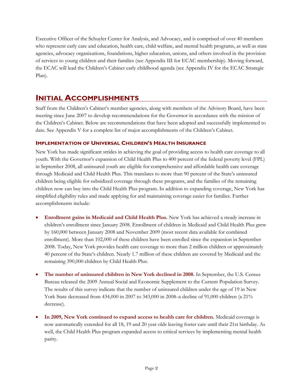Executive Officer of the Schuyler Center for Analysis, and Advocacy, and is comprised of over 40 members who represent early care and education, health care, child welfare, and mental health programs, as well as state agencies, advocacy organizations, foundations, higher education, unions, and others involved in the provision of services to young children and their families (see Appendix III for ECAC membership). Moving forward, the ECAC will lead the Children's Cabinet early childhood agenda (see Appendix IV for the ECAC Strategic Plan).

# **INITIAL ACCOMPLISHMENTS**

Staff from the Children's Cabinet's member agencies, along with members of the Advisory Board, have been meeting since June 2007 to develop recommendations for the Governor in accordance with the mission of the Children's Cabinet. Below are recommendations that have been adopted and successfully implemented to date. See Appendix V for a complete list of major accomplishments of the Children's Cabinet.

# **IMPLEMENTATION OF UNIVERSAL CHILDREN'S HEALTH INSURANCE**

New York has made significant strides in achieving the goal of providing access to health care coverage to all youth. With the Governor's expansion of Child Health Plus to 400 percent of the federal poverty level (FPL) in September 2008, all uninsured youth are eligible for comprehensive and affordable health care coverage through Medicaid and Child Health Plus. This translates to more than 90 percent of the State's uninsured children being eligible for subsidized coverage through these programs, and the families of the remaining children now can buy into the Child Health Plus program. In addition to expanding coverage, New York has simplified eligibility rules and made applying for and maintaining coverage easier for families. Further accomplishments include:

- **Enrollment gains in Medicaid and Child Health Plus.** New York has achieved a steady increase in children's enrollment since January 2008. Enrollment of children in Medicaid and Child Health Plus grew by 160,000 between January 2008 and November 2009 (most recent data available for combined enrollment). More than 102,000 of these children have been enrolled since the expansion in September 2008. Today, New York provides health care coverage to more than 2 million children or approximately 40 percent of the State's children. Nearly 1.7 million of these children are covered by Medicaid and the remaining 390,000 children by Child Health Plus.
- **The number of uninsured children in New York declined in 2008.** In September, the U.S. Census Bureau released the 2009 Annual Social and Economic Supplement to the Current Population Survey. The results of this survey indicate that the number of uninsured children under the age of 19 in New York State decreased from 434,000 in 2007 to 343,000 in 2008–a decline of 91,000 children (a 21% decrease).
- **In 2009, New York continued to expand access to health care for children.** Medicaid coverage is now automatically extended for all 18, 19 and 20 year olds leaving foster care until their 21st birthday. As well, the Child Health Plus program expanded access to critical services by implementing mental health parity.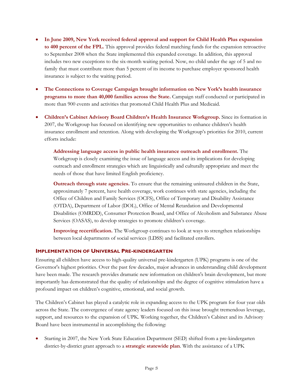- **In June 2009, New York received federal approval and support for Child Health Plus expansion to 400 percent of the FPL.** This approval provides federal matching funds for the expansion retroactive to September 2008 when the State implemented this expanded coverage. In addition, this approval includes two new exceptions to the six-month waiting period. Now, no child under the age of 5 and no family that must contribute more than 5 percent of its income to purchase employer sponsored health insurance is subject to the waiting period.
- **The Connections to Coverage Campaign brought information on New York's health insurance programs to more than 40,000 families across the State.** Campaign staff conducted or participated in more than 900 events and activities that promoted Child Health Plus and Medicaid.
- **Children's Cabinet Advisory Board Children's Health Insurance Workgroup.** Since its formation in 2007, the Workgroup has focused on identifying new opportunities to enhance children's health insurance enrollment and retention. Along with developing the Workgroup's priorities for 2010, current efforts include:

**Addressing language access in public health insurance outreach and enrollment.** The Workgroup is closely examining the issue of language access and its implications for developing outreach and enrollment strategies which are linguistically and culturally appropriate and meet the needs of those that have limited English proficiency.

**Outreach through state agencies.** To ensure that the remaining uninsured children in the State, approximately 7 percent, have health coverage, work continues with state agencies, including the Office of Children and Family Services (OCFS), Office of Temporary and Disability Assistance (OTDA), Department of Labor (DOL), Office of Mental Retardation and Developmental Disabilities (OMRDD), Consumer Protection Board, and Office of Alcoholism and Substance Abuse Services (OASAS), to develop strategies to promote children's coverage.

**Improving recertification.** The Workgroup continues to look at ways to strengthen relationships between local departments of social services (LDSS) and facilitated enrollers.

### **IMPLEMENTATION OF UNIVERSAL PRE-KINDERGARTEN**

Ensuring all children have access to high-quality universal pre-kindergarten (UPK) programs is one of the Governor's highest priorities. Over the past few decades, major advances in understanding child development have been made. The research provides dramatic new information on children's brain development, but more importantly has demonstrated that the quality of relationships and the degree of cognitive stimulation have a profound impact on children's cognitive, emotional, and social growth.

The Children's Cabinet has played a catalytic role in expanding access to the UPK program for four year olds across the State. The convergence of state agency leaders focused on this issue brought tremendous leverage, support, and resources to the expansion of UPK. Working together, the Children's Cabinet and its Advisory Board have been instrumental in accomplishing the following:

• Starting in 2007, the New York State Education Department (SED) shifted from a pre-kindergarten district-by-district grant approach to a **strategic statewide plan**. With the assistance of a UPK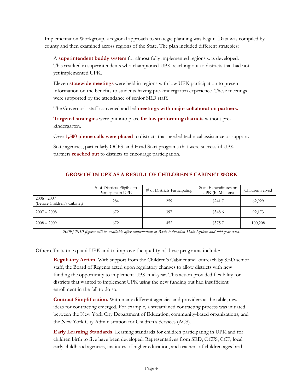Implementation Workgroup, a regional approach to strategic planning was begun. Data was compiled by county and then examined across regions of the State. The plan included different strategies:

A **superintendent buddy system** for almost fully implemented regions was developed. This resulted in superintendents who championed UPK reaching out to districts that had not yet implemented UPK.

Eleven **statewide meetings** were held in regions with low UPK participation to present information on the benefits to students having pre-kindergarten experience. These meetings were supported by the attendance of senior SED staff.

The Governor's staff convened and led **meetings with major collaboration partners.** 

**Targeted strategies** were put into place **for low performing districts** without prekindergarten.

Over **1,500 phone calls were placed** to districts that needed technical assistance or support.

State agencies, particularly OCFS, and Head Start programs that were successful UPK partners **reached out** to districts to encourage participation.

# **GROWTH IN UPK AS A RESULT OF CHILDREN'S CABINET WORK**

|                                              | $#$ of Districts Eligible to<br>Participate in UPK | # of Districts Participating | State Expenditures on<br>UPK (In Millions) | Children Served |
|----------------------------------------------|----------------------------------------------------|------------------------------|--------------------------------------------|-----------------|
| $2006 - 2007$<br>(Before Children's Cabinet) | 284                                                | 259                          | \$241.7                                    | 62,929          |
| $2007 - 2008$                                | 672                                                | 397                          | \$348.6                                    | 92,173          |
| $2008 - 2009$                                | 672                                                | 452                          | \$375.7                                    | 100,208         |

*2009/2010 figures will be available after confirmation of Basic Education Data System and mid-year data.* 

Other efforts to expand UPK and to improve the quality of these programs include:

**Regulatory Action.** With support from the Children's Cabinet and outreach by SED senior staff, the Board of Regents acted upon regulatory changes to allow districts with new funding the opportunity to implement UPK mid-year. This action provided flexibility for districts that wanted to implement UPK using the new funding but had insufficient enrollment in the fall to do so.

**Contract Simplification.** With many different agencies and providers at the table, new ideas for contracting emerged. For example, a streamlined contracting process was initiated between the New York City Department of Education, community-based organizations, and the New York City Administration for Children's Services (ACS).

**Early Learning Standards.** Learning standards for children participating in UPK and for children birth to five have been developed. Representatives from SED, OCFS, CCF, local early childhood agencies, institutes of higher education, and teachers of children ages birth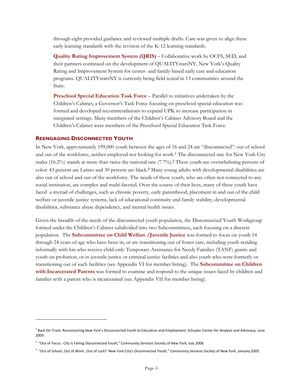through eight provided guidance and reviewed multiple drafts. Care was given to align these early learning standards with the revision of the K-12 learning standards.

**Quality Rating Improvement System (QRIS)** – Collaborative work by OCFS, SED, and their partners continued on the development of QUALITYstarsNY, New York's Quality Rating and Improvement System for center- and family-based early care and education programs. QUALITYstarsNY is currently being field tested in 13 communities around the State.

**Preschool Special Education Task Force** – Parallel to initiatives undertaken by the Children's Cabinet, a Governor's Task Force focusing on preschool special education was formed and developed recommendations to expand UPK to increase participation in integrated settings. Many members of the Children's Cabinet Advisory Board and the Children's Cabinet were members of the Preschool Special Education Task Force.

### **REENGAGING DISCONNECTED YOUTH**

<u>.</u>

In New York, approximately 199,000 youth between the ages of 16 and 24 are "disconnected": out of school and out of the workforce, neither employed nor looking for work.1 The disconnected rate for New York City males (16.2%) stands at more than twice the national rate  $(7.7\%)$ . These youth are overwhelming persons of color: 43 percent are Latino and 30 percent are black.3 Many young adults with developmental disabilities are also out of school and out of the workforce. The needs of these youth, who are often not connected to any social institution, are complex and multi-faceted. Over the course of their lives, many of these youth have faced a myriad of challenges, such as chronic poverty, early parenthood, placement in and out of the child welfare or juvenile justice systems, lack of educational continuity and family stability, developmental disabilities, substance abuse dependency, and mental health issues.

Given the breadth of the needs of the disconnected youth population, the Disconnected Youth Workgroup formed under the Children's Cabinet subdivided into two Subcommittees, each focusing on a discrete population. The **Subcommittee on Child Welfare /Juvenile Justice** was formed to focus on youth 14 through 24 years of age who have been in, or are transitioning out of foster care, including youth residing informally with kin who receive child-only Temporary Assistance for Needy Families (TANF) grants and youth on probation, or in juvenile justice or criminal justice facilities and also youth who were formerly or transitioning out of such facilities (see Appendix VI for member listing). The **Subcommittee on Children with Incarcerated Parents** was formed to examine and respond to the unique issues faced by children and families with a parent who is incarcerated (see Appendix VII for member listing).

<sup>&</sup>lt;sup>1</sup> Back On Track: Reconnecting New York's Disconnected Youth to Education and Employment, Schuyler Center for Analysis and Advocacy, June 2009.

<sup>&</sup>lt;sup>2</sup> "Out of Focus: City is Failing Disconnected Youth," Community Services Society of New York, July 2008.

<sup>3</sup> "Out of School, Out of Work…Out of Luck? New York City's Disconnected Youth," Community Services Society of New York, January 2005.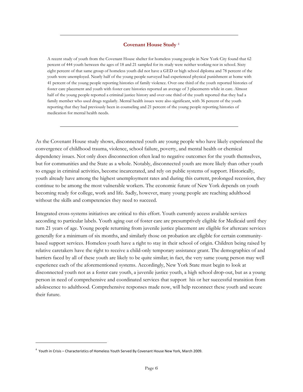### **Covenant House Study** <sup>4</sup>

A recent study of youth from the Covenant House shelter for homeless young people in New York City found that 62 percent of 444 youth between the ages of 18 and 21 sampled for its study were neither working nor in school. Sixty eight percent of that same group of homeless youth did not have a GED or high school diploma and 78 percent of the youth were unemployed. Nearly half of the young people surveyed had experienced physical punishment at home with 41 percent of the young people reporting histories of family violence. Over one third of the youth reported histories of foster care placement and youth with foster care histories reported an average of 3 placements while in care. Almost half of the young people reported a criminal justice history and over one third of the youth reported that they had a family member who used drugs regularly. Mental health issues were also significant, with 36 percent of the youth reporting that they had previously been in counseling and 21 percent of the young people reporting histories of medication for mental health needs.

As the Covenant House study shows, disconnected youth are young people who have likely experienced the convergence of childhood trauma, violence, school failure, poverty, and mental health or chemical dependency issues. Not only does disconnection often lead to negative outcomes for the youth themselves, but for communities and the State as a whole. Notably, disconnected youth are more likely than other youth to engage in criminal activities, become incarcerated, and rely on public systems of support. Historically, youth already have among the highest unemployment rates and during this current, prolonged recession, they continue to be among the most vulnerable workers. The economic future of New York depends on youth becoming ready for college, work and life. Sadly, however, many young people are reaching adulthood without the skills and competencies they need to succeed.

Integrated cross-systems initiatives are critical to this effort. Youth currently access available services according to particular labels. Youth aging out of foster care are presumptively eligible for Medicaid until they turn 21 years of age. Young people returning from juvenile justice placement are eligible for aftercare services generally for a minimum of six months, and similarly those on probation are eligible for certain communitybased support services. Homeless youth have a right to stay in their school of origin. Children being raised by relative caretakers have the right to receive a child-only temporary assistance grant. The demographics of and barriers faced by all of these youth are likely to be quite similar; in fact, the very same young person may well experience each of the aforementioned systems. Accordingly, New York State must begin to look at disconnected youth not as a foster care youth, a juvenile justice youth, a high school drop-out, but as a young person in need of comprehensive and coordinated services that support his or her successful transition from adolescence to adulthood. Comprehensive responses made now, will help reconnect these youth and secure their future.

-

<sup>&</sup>lt;sup>4</sup> Youth in Crisis – Characteristics of Homeless Youth Served By Covenant House New York, March 2009.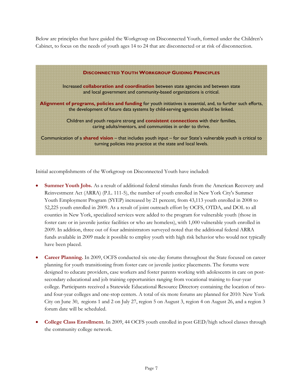Below are principles that have guided the Workgroup on Disconnected Youth, formed under the Children's Cabinet, to focus on the needs of youth ages 14 to 24 that are disconnected or at risk of disconnection.



Initial accomplishments of the Workgroup on Disconnected Youth have included:

- **Summer Youth Jobs.** As a result of additional federal stimulus funds from the American Recovery and Reinvestment Act (ARRA) (P.L. 111-5), the number of youth enrolled in New York City's Summer Youth Employment Program (SYEP) increased by 21 percent, from 43,113 youth enrolled in 2008 to 52,225 youth enrolled in 2009. As a result of joint outreach effort by OCFS, OTDA, and DOL to all counties in New York, specialized services were added to the program for vulnerable youth (those in foster care or in juvenile justice facilities or who are homeless), with 1,000 vulnerable youth enrolled in 2009. In addition, three out of four administrators surveyed noted that the additional federal ARRA funds available in 2009 made it possible to employ youth with high risk behavior who would not typically have been placed.
- **Career Planning.** In 2009, OCFS conducted six one-day forums throughout the State focused on career planning for youth transitioning from foster care or juvenile justice placements. The forums were designed to educate providers, case workers and foster parents working with adolescents in care on postsecondary educational and job training opportunities ranging from vocational training to four-year college. Participants received a Statewide Educational Resource Directory containing the location of twoand four-year colleges and one-stop centers. A total of six more forums are planned for 2010: New York City on June 30, regions 1 and 2 on July 27, region 5 on August 3, region 4 on August 26, and a region 3 forum date will be scheduled.
- **College Class Enrollment.** In 2009, 44 OCFS youth enrolled in post GED/high school classes through the community college network.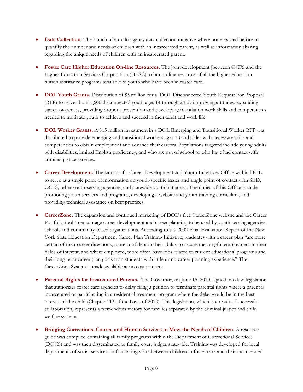- **Data Collection.** The launch of a multi-agency data collection initiative where none existed before to quantify the number and needs of children with an incarcerated parent, as well as information sharing regarding the unique needs of children with an incarcerated parent.
- **Foster Care Higher Education On-line Resources.** The joint development [between OCFS and the Higher Education Services Corporation (HESC)] of an on-line resource of all the higher education tuition assistance programs available to youth who have been in foster care.
- **DOL Youth Grants.** Distribution of \$5 million for a DOL Disconnected Youth Request For Proposal (RFP) to serve about 1,600 disconnected youth ages 14 through 24 by improving attitudes, expanding career awareness, providing dropout prevention and developing foundation work skills and competencies needed to motivate youth to achieve and succeed in their adult and work life.
- **DOL Worker Grants.** A \$15 million investment in a DOL Emerging and Transitional Worker RFP was distributed to provide emerging and transitional workers ages 18 and older with necessary skills and competencies to obtain employment and advance their careers. Populations targeted include young adults with disabilities, limited English proficiency, and who are out of school or who have had contact with criminal justice services.
- **Career Development.** The launch of a Career Development and Youth Initiatives Office within DOL to serve as a single point of information on youth-specific issues and single point of contact with SED, OCFS, other youth-serving agencies, and statewide youth initiatives. The duties of this Office include promoting youth services and programs, developing a website and youth training curriculum, and providing technical assistance on best practices.
- **CareerZone.** The expansion and continued marketing of DOL's free CareerZone website and the Career Portfolio tool to encourage career development and career planning to be used by youth serving agencies, schools and community-based organizations. According to the 2002 Final Evaluation Report of the New York State Education Department Career Plan Training Initiative, graduates with a career plan "are more certain of their career directions, more confident in their ability to secure meaningful employment in their fields of interest, and where employed, more often have jobs related to current educational programs and their long-term career plan goals than students with little or no career planning experience." The CareerZone System is made available at no cost to users.
- **Parental Rights for Incarcerated Parents.** The Governor, on June 15, 2010, signed into law legislation that authorizes foster care agencies to delay filing a petition to terminate parental rights where a parent is incarcerated or participating in a residential treatment program where the delay would be in the best interest of the child (Chapter 113 of the Laws of 2010). This legislation, which is a result of successful collaboration, represents a tremendous victory for families separated by the criminal justice and child welfare systems.
- **Bridging Corrections, Courts, and Human Services to Meet the Needs of Children.** A resource guide was compiled containing all family programs within the Department of Correctional Services (DOCS) and was then disseminated to family court judges statewide. Training was developed for local departments of social services on facilitating visits between children in foster care and their incarcerated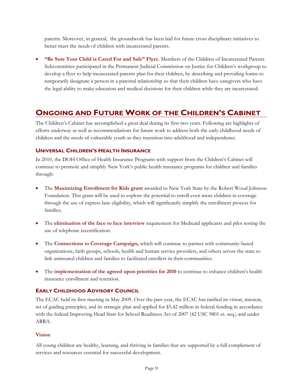parents. Moreover, in general, the groundwork has been laid for future cross disciplinary initiatives to better meet the needs of children with incarcerated parents.

• **"Be Sure Your Child is Cared For and Safe" Flyer.** Members of the Children of Incarcerated Parents Subcommittee participated in the Permanent Judicial Commission on Justice for Children's workgroup to develop a flyer to help incarcerated parents plan for their children, by describing and providing forms to temporarily designate a person in a parental relationship so that their children have caregivers who have the legal ability to make education and medical decisions for their children while they are incarcerated.

# **ONGOING AND FUTURE WORK OF THE CHILDREN'S CABINET**

The Children's Cabinet has accomplished a great deal during its first two years. Following are highlights of efforts underway as well as recommendations for future work to address both the early childhood needs of children and the needs of vulnerable youth as they transition into adulthood and independence.

# **UNIVERSAL CHILDREN'S HEALTH INSURANCE**

In 2010, the DOH Office of Health Insurance Programs with support from the Children's Cabinet will continue to promote and simplify New York's public health insurance programs for children and families through:

- The **Maximizing Enrollment for Kids grant** awarded to New York State by the Robert Wood Johnson Foundation. This grant will be used to explore the potential to enroll even more children in coverage through the use of express lane eligibility, which will significantly simplify the enrollment process for families.
- The **elimination of the face to face interview** requirement for Medicaid applicants and pilot testing the use of telephone recertification.
- The **Connections to Coverage Campaign,** which will continue to partner with community-based organizations, faith groups, schools, health and human service providers, and others across the state to link uninsured children and families to facilitated enrollers in their communities.
- The **implementation of the agreed upon priorities for 2010** to continue to enhance children's health insurance enrollment and retention.

# **EARLY CHILDHOOD ADVISORY COUNCIL**

The ECAC held its first meeting in May 2009. Over the past year, the ECAC has ratified its vision, mission, set of guiding principles, and its strategic plan and applied for \$5.42 million in federal funding in accordance with the federal Improving Head Start for School Readiness Act of 2007 (42 USC 9801 et. seq.) and under ARRA.

# **Vision**

All young children are healthy, learning, and thriving in families that are supported by a full complement of services and resources essential for successful development.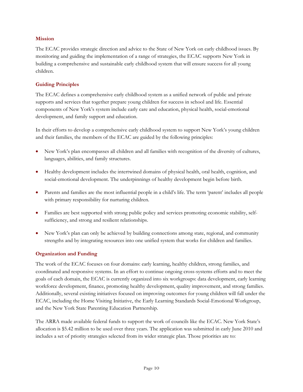### **Mission**

The ECAC provides strategic direction and advice to the State of New York on early childhood issues. By monitoring and guiding the implementation of a range of strategies, the ECAC supports New York in building a comprehensive and sustainable early childhood system that will ensure success for all young children.

# **Guiding Principles**

The ECAC defines a comprehensive early childhood system as a unified network of public and private supports and services that together prepare young children for success in school and life. Essential components of New York's system include early care and education, physical health, social-emotional development, and family support and education.

In their efforts to develop a comprehensive early childhood system to support New York's young children and their families, the members of the ECAC are guided by the following principles:

- New York's plan encompasses all children and all families with recognition of the diversity of cultures, languages, abilities, and family structures.
- Healthy development includes the intertwined domains of physical health, oral health, cognition, and social-emotional development. The underpinnings of healthy development begin before birth.
- Parents and families are the most influential people in a child's life. The term 'parent' includes all people with primary responsibility for nurturing children.
- Families are best supported with strong public policy and services promoting economic stability, selfsufficiency, and strong and resilient relationships.
- New York's plan can only be achieved by building connections among state, regional, and community strengths and by integrating resources into one unified system that works for children and families.

# **Organization and Funding**

The work of the ECAC focuses on four domains: early learning, healthy children, strong families, and coordinated and responsive systems. In an effort to continue ongoing cross-systems efforts and to meet the goals of each domain, the ECAC is currently organized into six workgroups: data development, early learning workforce development, finance, promoting healthy development, quality improvement, and strong families. Additionally, several existing initiatives focused on improving outcomes for young children will fall under the ECAC, including the Home Visiting Initiative, the Early Learning Standards Social-Emotional Workgroup, and the New York State Parenting Education Partnership.

The ARRA made available federal funds to support the work of councils like the ECAC. New York State's allocation is \$5.42 million to be used over three years. The application was submitted in early June 2010 and includes a set of priority strategies selected from its wider strategic plan. Those priorities are to: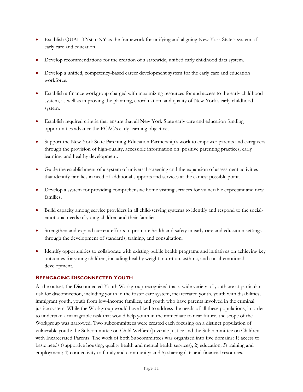- Establish QUALITYstarsNY as the framework for unifying and aligning New York State's system of early care and education.
- Develop recommendations for the creation of a statewide, unified early childhood data system.
- Develop a unified, competency-based career development system for the early care and education workforce.
- Establish a finance workgroup charged with maximizing resources for and access to the early childhood system, as well as improving the planning, coordination, and quality of New York's early childhood system.
- Establish required criteria that ensure that all New York State early care and education funding opportunities advance the ECAC's early learning objectives.
- Support the New York State Parenting Education Partnership's work to empower parents and caregivers through the provision of high-quality, accessible information on positive parenting practices, early learning, and healthy development.
- Guide the establishment of a system of universal screening and the expansion of assessment activities that identify families in need of additional supports and services at the earliest possible point.
- Develop a system for providing comprehensive home visiting services for vulnerable expectant and new families.
- Build capacity among service providers in all child-serving systems to identify and respond to the socialemotional needs of young children and their families.
- Strengthen and expand current efforts to promote health and safety in early care and education settings through the development of standards, training, and consultation.
- Identify opportunities to collaborate with existing public health programs and initiatives on achieving key outcomes for young children, including healthy weight, nutrition, asthma, and social-emotional development.

# **REENGAGING DISCONNECTED YOUTH**

At the outset, the Disconnected Youth Workgroup recognized that a wide variety of youth are at particular risk for disconnection, including youth in the foster care system, incarcerated youth, youth with disabilities, immigrant youth, youth from low-income families, and youth who have parents involved in the criminal justice system. While the Workgroup would have liked to address the needs of all these populations, in order to undertake a manageable task that would help youth in the immediate to near future, the scope of the Workgroup was narrowed. Two subcommittees were created each focusing on a distinct population of vulnerable youth: the Subcommittee on Child Welfare/Juvenile Justice and the Subcommittee on Children with Incarcerated Parents. The work of both Subcommittees was organized into five domains: 1) access to basic needs (supportive housing; quality health and mental health services); 2) education; 3) training and employment; 4) connectivity to family and community; and 5) sharing data and financial resources.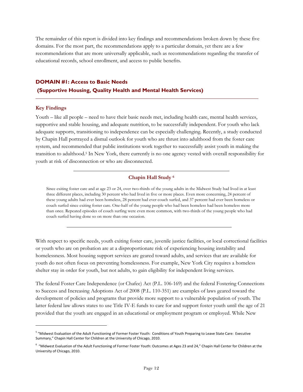The remainder of this report is divided into key findings and recommendations broken down by these five domains. For the most part, the recommendations apply to a particular domain, yet there are a few recommendations that are more universally applicable, such as recommendations regarding the transfer of educational records, school enrollment, and access to public benefits.

# **DOMAIN #1: Access to Basic Needs (Supportive Housing, Quality Health and Mental Health Services)**

### **Key Findings**

 $\overline{a}$ 

Youth – like all people – need to have their basic needs met, including health care, mental health services, supportive and stable housing, and adequate nutrition, to be successfully independent. For youth who lack adequate supports, transitioning to independence can be especially challenging. Recently, a study conducted by Chapin Hall portrayed a dismal outlook for youth who are thrust into adulthood from the foster care system, and recommended that public institutions work together to successfully assist youth in making the transition to adulthood.5 In New York, there currently is no one agency vested with overall responsibility for youth at risk of disconnection or who are disconnected.

### **Chapin Hall Study 6**

Since exiting foster care and at age 23 or 24, over two-thirds of the young adults in the Midwest Study had lived in at least three different places, including 30 percent who had lived in five or more places. Even more concerning, 24 percent of these young adults had ever been homeless, 28 percent had ever couch surfed, and 37 percent had ever been homeless or couch surfed since exiting foster care. One-half of the young people who had been homeless had been homeless more than once. Repeated episodes of couch surfing were even more common, with two-thirds of the young people who had couch surfed having done so on more than one occasion.

With respect to specific needs, youth exiting foster care, juvenile justice facilities, or local correctional facilities or youth who are on probation are at a disproportionate risk of experiencing housing instability and homelessness. Most housing support services are geared toward adults, and services that are available for youth do not often focus on preventing homelessness. For example, New York City requires a homeless shelter stay in order for youth, but not adults, to gain eligibility for independent living services.

The federal Foster Care Independence (or Chafee) Act (P.L. 106-169) and the federal Fostering Connections to Success and Increasing Adoptions Act of 2008 (P.L. 110-351) are examples of laws geared toward the development of policies and programs that provide more support to a vulnerable population of youth. The latter federal law allows states to use Title IV-E funds to care for and support foster youth until the age of 21 provided that the youth are engaged in an educational or employment program or employed. While New

<sup>5</sup> "Midwest Evaluation of the Adult Functioning of Former Foster Youth: Conditions of Youth Preparing to Leave State Care: Executive Summary," Chapin Hall Center for Children at the University of Chicago, 2010.

<sup>6</sup> "Midwest Evaluation of the Adult Functioning of Former Foster Youth: Outcomes at Ages 23 and 24," Chapin Hall Center for Children at the University of Chicago, 2010.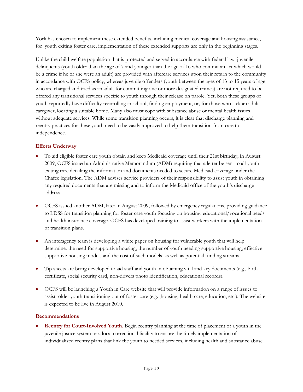York has chosen to implement these extended benefits, including medical coverage and housing assistance, for youth exiting foster care, implementation of these extended supports are only in the beginning stages.

Unlike the child welfare population that is protected and served in accordance with federal law, juvenile delinquents (youth older than the age of 7 and younger than the age of 16 who commit an act which would be a crime if he or she were an adult) are provided with aftercare services upon their return to the community in accordance with OCFS policy, whereas juvenile offenders (youth between the ages of 13 to 15 years of age who are charged and tried as an adult for committing one or more designated crimes) are not required to be offered any transitional services specific to youth through their release on parole. Yet, both these groups of youth reportedly have difficulty reenrolling in school, finding employment, or, for those who lack an adult caregiver, locating a suitable home. Many also must cope with substance abuse or mental health issues without adequate services. While some transition planning occurs, it is clear that discharge planning and reentry practices for these youth need to be vastly improved to help them transition from care to independence.

# **Efforts Underway**

- To aid eligible foster care youth obtain and keep Medicaid coverage until their 21st birthday, in August 2009, OCFS issued an Administrative Memorandum (ADM) requiring that a letter be sent to all youth exiting care detailing the information and documents needed to secure Medicaid coverage under the Chafee legislation. The ADM advises service providers of their responsibility to assist youth in obtaining any required documents that are missing and to inform the Medicaid office of the youth's discharge address.
- OCFS issued another ADM, later in August 2009, followed by emergency regulations, providing guidance to LDSS for transition planning for foster care youth focusing on housing, educational/vocational needs and health insurance coverage. OCFS has developed training to assist workers with the implementation of transition plans.
- An interagency team is developing a white paper on housing for vulnerable youth that will help determine: the need for supportive housing, the number of youth needing supportive housing, effective supportive housing models and the cost of such models, as well as potential funding streams.
- Tip sheets are being developed to aid staff and youth in obtaining vital and key documents (e.g., birth certificate, social security card, non-drivers photo identification, educational records).
- OCFS will be launching a Youth in Care website that will provide information on a range of issues to assist older youth transitioning out of foster care (e.g. ,housing; health care, education, etc.). The website is expected to be live in August 2010.

# **Recommendations**

• **Reentry for Court-Involved Youth.** Begin reentry planning at the time of placement of a youth in the juvenile justice system or a local correctional facility to ensure the timely implementation of individualized reentry plans that link the youth to needed services, including health and substance abuse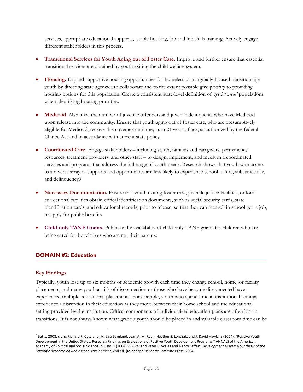services, appropriate educational supports, stable housing, job and life-skills training. Actively engage different stakeholders in this process.

- **Transitional Services for Youth Aging out of Foster Care.** Improve and further ensure that essential transitional services are obtained by youth exiting the child welfare system.
- **Housing.** Expand supportive housing opportunities for homeless or marginally-housed transition age youth by directing state agencies to collaborate and to the extent possible give priority to providing housing options for this population. Create a consistent state-level definition of *'special needs'* populations when identifying housing priorities.
- **Medicaid.** Maximize the number of juvenile offenders and juvenile delinquents who have Medicaid upon release into the community. Ensure that youth aging out of foster care, who are presumptively eligible for Medicaid, receive this coverage until they turn 21 years of age, as authorized by the federal Chafee Act and in accordance with current state policy.
- **Coordinated Care.** Engage stakeholders including youth, families and caregivers, permanency resources, treatment providers, and other staff – to design, implement, and invest in a coordinated services and programs that address the full range of youth needs. Research shows that youth with access to a diverse array of supports and opportunities are less likely to experience school failure, substance use, and delinquency.<sup>7</sup>
- **Necessary Documentation.** Ensure that youth exiting foster care, juvenile justice facilities, or local correctional facilities obtain critical identification documents, such as social security cards, state identification cards, and educational records, prior to release, so that they can reenroll in school get a job, or apply for public benefits.
- **Child-only TANF Grants.** Publicize the availability of child-only TANF grants for children who are being cared for by relatives who are not their parents.

### **DOMAIN #2: Education**

### **Key Findings**

<u>.</u>

Typically, youth lose up to six months of academic growth each time they change school, home, or facility placements, and many youth at risk of disconnection or those who have become disconnected have experienced multiple educational placements. For example, youth who spend time in institutional settings experience a disruption in their education as they move between their home school and the educational setting provided by the institution. Critical components of individualized education plans are often lost in transitions. It is not always known what grade a youth should be placed in and valuable classroom time can be

 $^7$  Butts, 2008, citing Richard F. Catalano, M. Lisa Berglund, Jean A. M. Ryan, Heather S. Lonczak, and J. David Hawkins (2004), "Positive Youth Development in the United States: Research Findings on Evaluations of Positive Youth Development Programs." ANNALS of the American Academy of Political and Social Science 591, no. 1 (2004):98‐124; and Peter C. Scales and Nancy Leffert, *Development Assets: A Synthesis of the Scientific Research on Adolescent Development,* 2nd ed. (Minneapolis: Search Institute Press, 2004).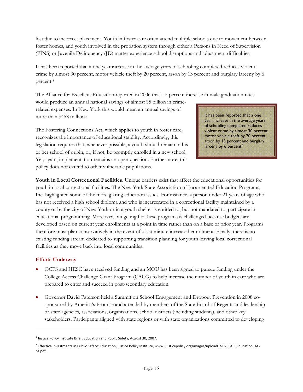lost due to incorrect placement. Youth in foster care often attend multiple schools due to movement between foster homes, and youth involved in the probation system through either a Persons in Need of Supervision (PINS) or Juvenile Delinquency (JD) matter experience school disruptions and adjustment difficulties.

It has been reported that a one year increase in the average years of schooling completed reduces violent crime by almost 30 percent, motor vehicle theft by 20 percent, arson by 13 percent and burglary larceny by 6 percent.8

The Alliance for Excellent Education reported in 2006 that a 5 percent increase in male graduation rates

would produce an annual national savings of almost \$5 billion in crimerelated expenses. In New York this would mean an annual savings of more than \$458 million.<sup>9</sup>

The Fostering Connections Act, which applies to youth in foster care, recognizes the importance of educational stability. Accordingly, this legislation requires that, whenever possible, a youth should remain in his or her school of origin, or, if not, be promptly enrolled in a new school. Yet, again, implementation remains an open question. Furthermore, this policy does not extend to other vulnerable populations.

It has been reported that a one year increase in the average years of schooling completed reduces violent crime by almost 30 percent, motor vehicle theft by 20 percent, arson by 13 percent and burglary larceny by 6 percent.<sup>9</sup>

**Youth in Local Correctional Facilities.** Unique barriers exist that affect the educational opportunities for youth in local correctional facilities. The New York State Association of Incarcerated Education Programs, Inc. highlighted some of the more glaring education issues. For instance, a person under 21 years of age who has not received a high school diploma and who is incarcerated in a correctional facility maintained by a county or by the city of New York or in a youth shelter is entitled to, but not mandated to, participate in educational programming. Moreover, budgeting for these programs is challenged because budgets are developed based on current year enrollments at a point in time rather than on a base or prior year. Programs therefore must plan conservatively in the event of a last minute increased enrollment. Finally, there is no existing funding stream dedicated to supporting transition planning for youth leaving local correctional facilities as they move back into local communities.

# **Efforts Underway**

-

- OCFS and HESC have received funding and an MOU has been signed to pursue funding under the College Access Challenge Grant Program (CACG) to help increase the number of youth in care who are prepared to enter and succeed in post-secondary education.
- Governor David Paterson held a Summit on School Engagement and Dropout Prevention in 2008 cosponsored by America's Promise and attended by members of the State Board of Regents and leadership of state agencies, associations, organizations, school districts (including students), and other key stakeholders. Participants aligned with state regions or with state organizations committed to developing

<sup>&</sup>lt;sup>8</sup> Justice Policy Institute Brief, Education and Public Safety, August 30, 2007.

<sup>9</sup> Effective Investments in Public Safety: Education, justice Policy Institute, www. Justicepolicy.org/images/upload07-02\_FAC\_Education\_ACps.pdf.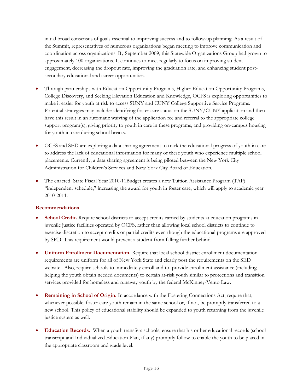initial broad consensus of goals essential to improving success and to follow-up planning. As a result of the Summit, representatives of numerous organizations began meeting to improve communication and coordination across organizations. By September 2009, this Statewide Organizations Group had grown to approximately 100 organizations. It continues to meet regularly to focus on improving student engagement, decreasing the dropout rate, improving the graduation rate, and enhancing student postsecondary educational and career opportunities.

- Through partnerships with Education Opportunity Programs, Higher Education Opportunity Programs, College Discovery, and Seeking Elevation Education and Knowledge, OCFS is exploring opportunities to make it easier for youth at risk to access SUNY and CUNY College Supportive Service Programs. Potential strategies may include: identifying foster care status on the SUNY/CUNY application and then have this result in an automatic waiving of the application fee and referral to the appropriate college support program(s), giving priority to youth in care in these programs, and providing on-campus housing for youth in care during school breaks.
- OCFS and SED are exploring a data sharing agreement to track the educational progress of youth in care to address the lack of educational information for many of these youth who experience multiple school placements. Currently, a data sharing agreement is being piloted between the New York City Administration for Children's Services and New York City Board of Education.
- The enacted State Fiscal Year 2010-11Budget creates a new Tuition Assistance Program (TAP) "independent schedule," increasing the award for youth in foster care, which will apply to academic year 2010-2011.

### **Recommendations**

- **School Credit.** Require school districts to accept credits earned by students at education programs in juvenile justice facilities operated by OCFS, rather than allowing local school districts to continue to exercise discretion to accept credits or partial credits even though the educational programs are approved by SED. This requirement would prevent a student from falling further behind.
- **Uniform Enrollment Documentation.** Require that local school district enrollment documentation requirements are uniform for all of New York State and clearly post the requirements on the SED website. Also, require schools to immediately enroll and to provide enrollment assistance (including helping the youth obtain needed documents) to certain at-risk youth similar to protections and transition services provided for homeless and runaway youth by the federal McKinney-Vento Law.
- **Remaining in School of Origin.** In accordance with the Fostering Connections Act, require that, whenever possible, foster care youth remain in the same school or, if not, be promptly transferred to a new school. This policy of educational stability should be expanded to youth returning from the juvenile justice system as well.
- **Education Records.** When a youth transfers schools, ensure that his or her educational records (school transcript and Individualized Education Plan, if any) promptly follow to enable the youth to be placed in the appropriate classroom and grade level.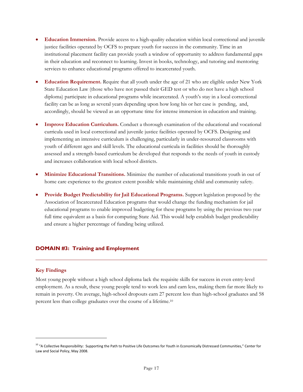- **Education Immersion.** Provide access to a high-quality education within local correctional and juvenile justice facilities operated by OCFS to prepare youth for success in the community. Time in an institutional placement facility can provide youth a window of opportunity to address fundamental gaps in their education and reconnect to learning. Invest in books, technology, and tutoring and mentoring services to enhance educational programs offered to incarcerated youth.
- **Education Requirement.** Require that all youth under the age of 21 who are eligible under New York State Education Law (those who have not passed their GED test or who do not have a high school diploma) participate in educational programs while incarcerated. A youth's stay in a local correctional facility can be as long as several years depending upon how long his or her case is pending, and, accordingly, should be viewed as an opportune time for intense immersion in education and training.
- **Improve Education Curriculum.** Conduct a thorough examination of the educational and vocational curricula used in local correctional and juvenile justice facilities operated by OCFS. Designing and implementing an intensive curriculum is challenging, particularly in under-resourced classrooms with youth of different ages and skill levels. The educational curricula in facilities should be thoroughly assessed and a strength-based curriculum be developed that responds to the needs of youth in custody and increases collaboration with local school districts.
- **Minimize Educational Transitions.** Minimize the number of educational transitions youth in out of home care experience to the greatest extent possible while maintaining child and community safety.
- **Provide Budget Predictability for Jail Educational Programs.** Support legislation proposed by the Association of Incarcerated Education programs that would change the funding mechanism for jail educational programs to enable improved budgeting for these programs by using the previous two year full time equivalent as a basis for computing State Aid. This would help establish budget predictability and ensure a higher percentage of funding being utilized.

### **DOMAIN #3: Training and Employment**

#### **Key Findings**

-

Most young people without a high school diploma lack the requisite skills for success in even entry-level employment. As a result, these young people tend to work less and earn less, making them far more likely to remain in poverty. On average, high-school dropouts earn 27 percent less than high-school graduates and 58 percent less than college graduates over the course of a lifetime.10

<sup>&</sup>lt;sup>10</sup> "A Collective Responsibility: Supporting the Path to Positive Life Outcomes for Youth in Economically Distressed Communities," Center for Law and Social Policy, May 2008.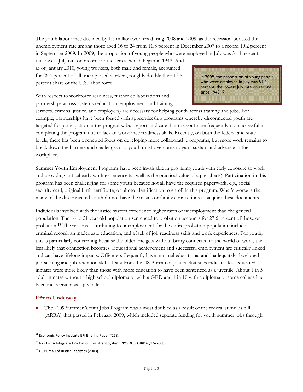The youth labor force declined by 1.5 million workers during 2008 and 2009, as the recession boosted the unemployment rate among those aged 16 to 24 from 11.8 percent in December 2007 to a record 19.2 percent in September 2009. In 2009, the proportion of young people who were employed in July was 51.4 percent,

the lowest July rate on record for the series, which began in 1948. And, as of January 2010, young workers, both male and female, accounted for 26.4 percent of all unemployed workers, roughly double their 13.5 percent share of the U.S. labor force.<sup>11</sup>

With respect to workforce readiness, further collaborations and partnerships across systems (education, employment and training In 2009, the proportion of young people who were employed in July was 51.4 percent, the lowest July rate on record since 1948. 12

services, criminal justice, and employers) are necessary for helping youth access training and jobs. For example, partnerships have been forged with apprenticeship programs whereby disconnected youth are targeted for participation in the programs. But reports indicate that the youth are frequently not successful in completing the program due to lack of workforce readiness skills. Recently, on both the federal and state levels, there has been a renewed focus on developing more collaborative programs, but more work remains to break down the barriers and challenges that youth must overcome to gain, sustain and advance in the workplace.

Summer Youth Employment Programs have been invaluable in providing youth with early exposure to work and providing critical early work experience (as well as the practical value of a pay check). Participation in this program has been challenging for some youth because not all have the required paperwork, e.g., social security card, original birth certificate, or photo identification to enroll in this program. What's worse is that many of the disconnected youth do not have the means or family connections to acquire these documents.

Individuals involved with the justice system experience higher rates of unemployment than the general population. The 16 to 21 year old population sentenced to probation accounts for 27.6 percent of those on probation.12 The reasons contributing to unemployment for the entire probation population include a criminal record, an inadequate education, and a lack of job readiness skills and work experiences. For youth, this is particularly concerning because the older one gets without being connected to the world of work, the less likely that connection becomes. Educational achievement and successful employment are critically linked and can have lifelong impacts. Offenders frequently have minimal educational and inadequately developed job-seeking and job-retention skills. Data from the US Bureau of Justice Statistics indicates less educated inmates were more likely than those with more education to have been sentenced as a juvenile. About 1 in 5 adult inmates without a high school diploma or with a GED and 1 in 10 with a diploma or some college had been incarcerated as a juvenile.13

### **Efforts Underway**

-

• The 2009 Summer Youth Jobs Program was almost doubled as a result of the federal stimulus bill (ARRA) that passed in February 2009, which included separate funding for youth summer jobs through

<sup>&</sup>lt;sup>11</sup> Economic Policy Institute EPI Briefing Paper #258.

<sup>&</sup>lt;sup>12</sup> NYS DPCA Integrated Probation Registrant System; NYS DCJS OJRP (6/16/2008).

<sup>&</sup>lt;sup>13</sup> US Bureau of Justice Statistics (2003).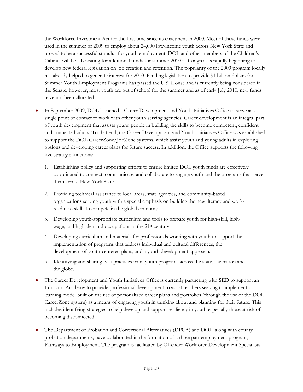the Workforce Investment Act for the first time since its enactment in 2000. Most of these funds were used in the summer of 2009 to employ about 24,000 low-income youth across New York State and proved to be a successful stimulus for youth employment. DOL and other members of the Children's Cabinet will be advocating for additional funds for summer 2010 as Congress is rapidly beginning to develop new federal legislation on job creation and retention. The popularity of the 2009 program locally has already helped to generate interest for 2010. Pending legislation to provide \$1 billion dollars for Summer Youth Employment Programs has passed the U.S. House and is currently being considered in the Senate, however, most youth are out of school for the summer and as of early July 2010, new funds have not been allocated.

- In September 2009, DOL launched a Career Development and Youth Initiatives Office to serve as a single point of contact to work with other youth serving agencies. Career development is an integral part of youth development that assists young people in building the skills to become competent, confident and connected adults. To that end, the Career Development and Youth Initiatives Office was established to support the DOL CareerZone/JobZone systems, which assist youth and young adults in exploring options and developing career plans for future success. In addition, the Office supports the following five strategic functions:
	- 1. Establishing policy and supporting efforts to ensure limited DOL youth funds are effectively coordinated to connect, communicate, and collaborate to engage youth and the programs that serve them across New York State.
	- 2. Providing technical assistance to local areas, state agencies, and community-based organizations serving youth with a special emphasis on building the new literacy and workreadiness skills to compete in the global economy.
	- 3. Developing youth-appropriate curriculum and tools to prepare youth for high-skill, highwage, and high-demand occupations in the 21st century.
	- 4. Developing curriculum and materials for professionals working with youth to support the implementation of programs that address individual and cultural differences, the development of youth-centered plans, and a youth development approach.
	- 5. Identifying and sharing best practices from youth programs across the state, the nation and the globe.
- The Career Development and Youth Initiatives Office is currently partnering with SED to support an Educator Academy to provide professional development to assist teachers seeking to implement a learning model built on the use of personalized career plans and portfolios (through the use of the DOL CareerZone system) as a means of engaging youth in thinking about and planning for their future. This includes identifying strategies to help develop and support resiliency in youth especially those at risk of becoming disconnected.
- The Department of Probation and Correctional Alternatives (DPCA) and DOL, along with county probation departments, have collaborated in the formation of a three part employment program, Pathways to Employment. The program is facilitated by Offender Workforce Development Specialists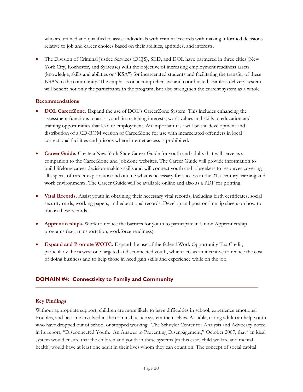who are trained and qualified to assist individuals with criminal records with making informed decisions relative to job and career choices based on their abilities, aptitudes, and interests.

• The Division of Criminal Justice Services (DCJS), SED, and DOL have partnered in three cities (New York City, Rochester, and Syracuse) with the objective of increasing employment readiness assets (knowledge, skills and abilities or "KSA") for incarcerated students and facilitating the transfer of these KSA's to the community. The emphasis on a comprehensive and coordinated seamless delivery system will benefit not only the participants in the program, but also strengthen the current system as a whole.

### **Recommendations**

- **DOL CareerZone.** Expand the use of DOL's CareerZone System. This includes enhancing the assessment functions to assist youth in matching interests, work values and skills to education and training opportunities that lead to employment. An important task will be the development and distribution of a CD-ROM version of CareerZone for use with incarcerated offenders in local correctional facilities and prisons where internet access is prohibited.
- **Career Guide.** Create a New York State Career Guide for youth and adults that will serve as a companion to the CareerZone and JobZone websites. The Career Guide will provide information to build lifelong career decision-making skills and will connect youth and jobseekers to resources covering all aspects of career exploration and outline what is necessary for success in the 21st century learning and work environments. The Career Guide will be available online and also as a PDF for printing.
- **Vital Records.** Assist youth in obtaining their necessary vital records, including birth certificates, social security cards, working papers, and educational records. Develop and post on-line tip sheets on how to obtain these records.
- **Apprenticeships.** Work to reduce the barriers for youth to participate in Union Apprenticeship programs (e.g., transportation, workforce readiness).
- **Expand and Promote WOTC.** Expand the use of the federal Work Opportunity Tax Credit, particularly the newest one targeted at disconnected youth, which acts as an incentive to reduce the cost of doing business and to help those in need gain skills and experience while on the job.

# **DOMAIN #4: Connectivity to Family and Community**

# **Key Findings**

Without appropriate support, children are more likely to have difficulties in school, experience emotional troubles, and become involved in the criminal justice system themselves. A stable, caring adult can help youth who have dropped out of school or stopped working. The Schuyler Center for Analysis and Advocacy noted in its report, "Disconnected Youth: An Answer to Preventing Disengagement," October 2007, that "an ideal system would ensure that the children and youth in these systems [in this case, child welfare and mental health] would have at least one adult in their lives whom they can count on. The concept of social capital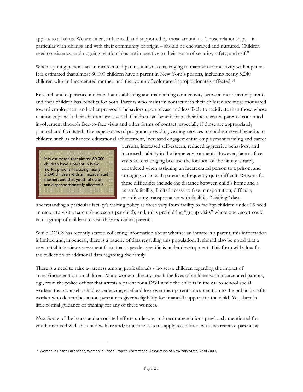applies to all of us. We are aided, influenced, and supported by those around us. Those relationships – in particular with siblings and with their community of origin – should be encouraged and nurtured. Children need consistency, and ongoing relationships are imperative to their sense of security, safety, and self."

When a young person has an incarcerated parent, it also is challenging to maintain connectivity with a parent. It is estimated that almost 80,000 children have a parent in New York's prisons, including nearly 5,240 children with an incarcerated mother, and that youth of color are disproportionately affected.14

Research and experience indicate that establishing and maintaining connectivity between incarcerated parents and their children has benefits for both. Parents who maintain contact with their children are more motivated toward employment and other pro-social behaviors upon release and less likely to recidivate than those whose relationships with their children are severed. Children can benefit from their incarcerated parents' continued involvement through face-to-face visits and other forms of contact, especially if those are appropriately planned and facilitated. The experiences of programs providing visiting services to children reveal benefits to children such as enhanced educational achievement, increased engagement in employment training and career

It is estimated that almost 80,000 children have a parent in New York's prisons, including nearly 5,240 children with an incarcerated mother, and that youth of color are disproportionately affected.<sup>15</sup>

-

pursuits, increased self-esteem, reduced aggressive behaviors, and increased stability in the home environment. However, face to face visits are challenging because the location of the family is rarely considered when assigning an incarcerated person to a prison, and arranging visits with parents is frequently quite difficult. Reasons for these difficulties include the distance between child's home and a parent's facility; limited access to free transportation; difficulty coordinating transportation with facilities "visiting" days;

understanding a particular facility's visiting policy as these vary from facility to facility; children under 16 need an escort to visit a parent (one escort per child); and, rules prohibiting "group visits" where one escort could take a group of children to visit their individual parents.

While DOCS has recently started collecting information about whether an inmate is a parent, this information is limited and, in general, there is a paucity of data regarding this population. It should also be noted that a new initial interview assessment form that is gender specific is under development. This form will allow for the collection of additional data regarding the family.

There is a need to raise awareness among professionals who serve children regarding the impact of arrest/incarceration on children. Many workers directly touch the lives of children with incarcerated parents, e.g., from the police officer that arrests a parent for a DWI while the child is in the car to school social workers that counsel a child experiencing grief and loss over their parent's incarceration to the public benefits worker who determines a non parent caregiver's eligibility for financial support for the child. Yet, there is little formal guidance or training for any of these workers.

*Note:* Some of the issues and associated efforts underway and recommendations previously mentioned for youth involved with the child welfare and/or justice systems apply to children with incarcerated parents as

<sup>14</sup> Women in Prison Fact Sheet, Women in Prison Project, Correctional Association of New York State, April 2009.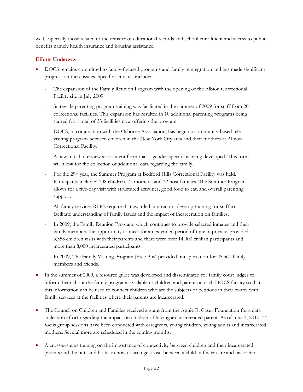well, especially those related to the transfer of educational records and school enrollment and access to public benefits namely health insurance and housing assistance.

# **Efforts Underway**

- DOCS remains committed to family-focused programs and family reintegration and has made significant progress on these issues. Specific activities include:
	- The expansion of the Family Reunion Program with the opening of the Albion Correctional Facility site in July 2009.
	- Statewide parenting program training was facilitated in the summer of 2009 for staff from 20 correctional facilities. This expansion has resulted in 10 additional parenting programs being started for a total of 33 facilities now offering the program.
	- DOCS, in conjunction with the Osborne Association, has begun a community-based televisiting program between children in the New York City area and their mothers at Albion Correctional Facility.
	- A new initial interview assessment form that is gender-specific is being developed. This form will allow for the collection of additional data regarding the family.
	- For the 29<sup>th</sup> year, the Summer Program at Bedford Hills Correctional Facility was held. Participants included 108 children, 75 mothers, and 32 host families. The Summer Program allows for a five-day visit with structured activities, good food to eat, and overall parenting support.
	- All family services RFP's require that awarded contractors develop training for staff to facilitate understanding of family issues and the impact of incarceration on families.
	- In 2009, the Family Reunion Program, which continues to provide selected inmates and their family members the opportunity to meet for an extended period of time in privacy, provided 3,358 children visits with their parents and there were over 14,000 civilian participants and more than 8,000 incarcerated participants.
	- In 2009, The Family Visiting Program (Free Bus) provided transportation for 25,560 family members and friends.
- In the summer of 2009, a resource guide was developed and disseminated for family court judges to inform them about the family programs available to children and parents at each DOCS facility so that this information can be used to connect children who are the subjects of petitions in their courts with family services at the facilities where their parents are incarcerated.
- The Council on Children and Families received a grant from the Annie E. Casey Foundation for a data collection effort regarding the impact on children of having an incarcerated parent. As of June 1, 2010, 14 focus group sessions have been conducted with caregivers, young children, young adults and incarcerated mothers. Several more are scheduled in the coming months.
- A cross-systems training on the importance of connectivity between children and their incarcerated parents and the nuts and bolts on how to arrange a visit between a child in foster care and his or her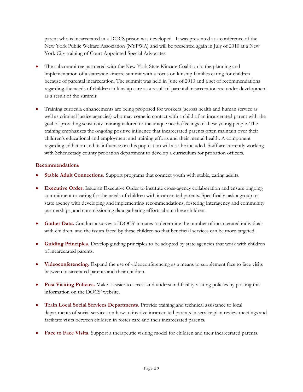parent who is incarcerated in a DOCS prison was developed. It was presented at a conference of the New York Public Welfare Association (NYPWA) and will be presented again in July of 2010 at a New York City training of Court Appointed Special Advocates

- The subcommittee partnered with the New York State Kincare Coalition in the planning and implementation of a statewide kincare summit with a focus on kinship families caring for children because of parental incarceration. The summit was held in June of 2010 and a set of recommendations regarding the needs of children in kinship care as a result of parental incarceration are under development as a result of the summit.
- Training curricula enhancements are being proposed for workers (across health and human service as well as criminal justice agencies) who may come in contact with a child of an incarcerated parent with the goal of providing sensitivity training tailored to the unique needs/feelings of these young people. The training emphasizes the ongoing positive influence that incarcerated parents often maintain over their children's educational and employment and training efforts and their mental health. A component regarding addiction and its influence on this population will also be included. Staff are currently working with Schenectady county probation department to develop a curriculum for probation officers.

### **Recommendations**

- **Stable Adult Connections.** Support programs that connect youth with stable, caring adults.
- **Executive Order.** Issue an Executive Order to institute cross-agency collaboration and ensure ongoing commitment to caring for the needs of children with incarcerated parents. Specifically task a group or state agency with developing and implementing recommendations, fostering interagency and community partnerships, and commissioning data gathering efforts about these children.
- **Gather Data.** Conduct a survey of DOCS' inmates to determine the number of incarcerated individuals with children and the issues faced by these children so that beneficial services can be more targeted.
- **Guiding Principles.** Develop guiding principles to be adopted by state agencies that work with children of incarcerated parents.
- **Videoconferencing.** Expand the use of videoconferencing as a means to supplement face to face visits between incarcerated parents and their children.
- **Post Visiting Policies.** Make it easier to access and understand facility visiting policies by posting this information on the DOCS' website.
- **Train Local Social Services Departments.** Provide training and technical assistance to local departments of social services on how to involve incarcerated parents in service plan review meetings and facilitate visits between children in foster care and their incarcerated parents.
- **Face to Face Visits.** Support a therapeutic visiting model for children and their incarcerated parents.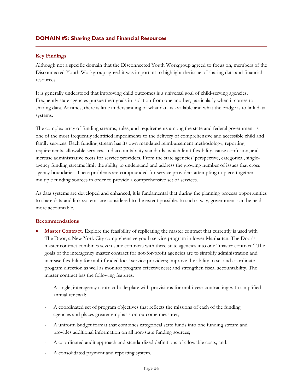### **Key Findings**

Although not a specific domain that the Disconnected Youth Workgroup agreed to focus on, members of the Disconnected Youth Workgroup agreed it was important to highlight the issue of sharing data and financial resources.

It is generally understood that improving child outcomes is a universal goal of child-serving agencies. Frequently state agencies pursue their goals in isolation from one another, particularly when it comes to sharing data. At times, there is little understanding of what data is available and what the bridge is to link data systems.

The complex array of funding streams, rules, and requirements among the state and federal government is one of the most frequently identified impediments to the delivery of comprehensive and accessible child and family services. Each funding stream has its own mandated reimbursement methodology, reporting requirements, allowable services, and accountability standards, which limit flexibility, cause confusion, and increase administrative costs for service providers. From the state agencies' perspective, categorical, singleagency funding streams limit the ability to understand and address the growing number of issues that cross agency boundaries. These problems are compounded for service providers attempting to piece together multiple funding sources in order to provide a comprehensive set of services.

As data systems are developed and enhanced, it is fundamental that during the planning process opportunities to share data and link systems are considered to the extent possible. In such a way, government can be held more accountable.

### **Recommendations**

- **Master Contract.** Explore the feasibility of replicating the master contract that currently is used with The Door, a New York City comprehensive youth service program in lower Manhattan. The Door's master contract combines seven state contracts with three state agencies into one "master contract." The goals of the interagency master contract for not-for-profit agencies are to simplify administration and increase flexibility for multi-funded local service providers; improve the ability to set and coordinate program direction as well as monitor program effectiveness; and strengthen fiscal accountability. The master contract has the following features:
	- A single, interagency contract boilerplate with provisions for multi-year contracting with simplified annual renewal;
	- A coordinated set of program objectives that reflects the missions of each of the funding agencies and places greater emphasis on outcome measures;
	- A uniform budget format that combines categorical state funds into one funding stream and provides additional information on all non-state funding sources;
	- A coordinated audit approach and standardized definitions of allowable costs; and,
	- A consolidated payment and reporting system.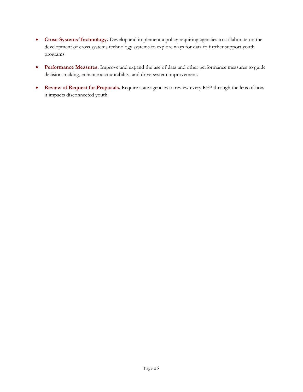- **Cross-Systems Technology.** Develop and implement a policy requiring agencies to collaborate on the development of cross systems technology systems to explore ways for data to further support youth programs.
- **Performance Measures.** Improve and expand the use of data and other performance measures to guide decision-making, enhance accountability, and drive system improvement.
- **Review of Request for Proposals.** Require state agencies to review every RFP through the lens of how it impacts disconnected youth.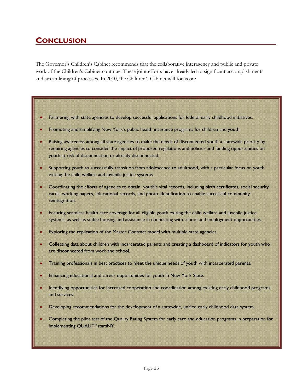# **CONCLUSION**

The Governor's Children's Cabinet recommends that the collaborative interagency and public and private work of the Children's Cabinet continue. These joint efforts have already led to significant accomplishments and streamlining of processes. In 2010, the Children's Cabinet will focus on:

- Partnering with state agencies to develop successful applications for federal early childhood initiatives.
- Promoting and simplifying New York's public health insurance programs for children and youth.
- Raising awareness among all state agencies to make the needs of disconnected youth a statewide priority by requiring agencies to consider the impact of proposed regulations and policies and funding opportunities on youth at risk of disconnection or already disconnected.
- Supporting youth to successfully transition from adolescence to adulthood, with a particular focus on youth exiting the child welfare and juvenile justice systems.
- Coordinating the efforts of agencies to obtain youth's vital records, including birth certificates, social security cards, working papers, educational records, and photo identification to enable successful community reintegration.
- Ensuring seamless health care coverage for all eligible youth exiting the child welfare and juvenile justice systems, as well as stable housing and assistance in connecting with school and employment opportunities.
- Exploring the replication of the Master Contract model with multiple state agencies.
- Collecting data about children with incarcerated parents and creating a dashboard of indicators for youth who are disconnected from work and school.
- Training professionals in best practices to meet the unique needs of youth with incarcerated parents.
- Enhancing educational and career opportunities for youth in New York State.
- Identifying opportunities for increased cooperation and coordination among existing early childhood programs and services.
- Developing recommendations for the development of a statewide, unified early childhood data system.
- Completing the pilot test of the Quality Rating System for early care and education programs in preparation for implementing QUALITYstarsNY.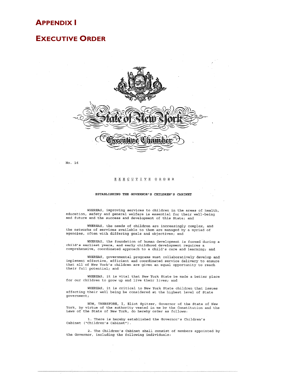# **APPENDIX I**

# **EXECUTIVE ORDER**



 $No. 16$ 

#### EXECUTIVE ORDER

#### ESTABLISHING THE GOVERNOR'S CHILDREN'S CABINET

WHEREAS, improving services to children in the areas of health, education, safety and general welfare is essential for their well-being and future and the success and development of this State; and

WHEREAS, the needs of children are increasingly complex, and the networks of services available to them are managed by a myriad of agencies, often with differing goals and objectives; and

WHEREAS, the foundation of human development is formed during a child's earliest years, and early childhood development requires a comprehensive, coordinated approach to a child's care and learning; and

WHEREAS, governmental programs must collaboratively develop and implement effective, efficient and coordinated service delivery to ensure<br>that all of New York's children are given an equal opportunity to reach their full potential; and

WHEREAS, it is vital that New York State be made a better place for our children to grow up and live their lives; and

WHEREAS, it is critical to New York State children that issues affecting their well being be considered at the highest level of State government:

NOW, THEREFORE, I, Eliot Spitzer, Governor of the State of New York, by virtue of the authority vested in me by the Constitution and the Laws of the State of New York, do hereby order as follows:

1. There is hereby established the Governor's Children's Cabinet ("Children's Cabinet").

2. The Children's Cabinet shall consist of members appointed by the Governor, including the following individuals: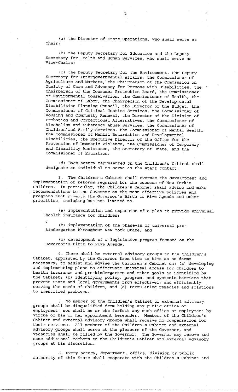(a) the Director of State Operations, who shall serve as Chair;

(b) the Deputy Secretary for Education and the Deputy Secretary for Health and Human Services, who shall serve as Vice-Chairs;

(c) the Deputy Secretary for the Environment, the Deputy Secretary for Intergovernmental Affairs, the Commissioner of Agriculture and Markets, the Chairperson of the Commission on Quality of Care and Advocacy for Persons with Disabilities, the Chairperson of the Consumer Protection Board, the Commissioner of Environmental Conservation, the Commissioner of Health, the Commissioner of Labor, the Chairperson of the Developmental Disabilities Planning Council, the Director of the Budget, the Commissioner of Criminal Justice Services, the Commissioner of Housing and Community Renewal, the Director of the Division of Probation and Correctional Alternatives, the Commissioner of Alcoholism and Substance Abuse Services, the Commissioner of Children and Family Services, the Commissioner of Mental Health, the Commissioner of Mental Retardation and Developmental Disabilities, the Executive Director of the Office for the Prevention of Domestic Violence, the Commissioner of Temporary and Disability Assistance, the Secretary of State, and the Commissioner of Education.

(d) Each agency represented on the Children's Cabinet shall designate an individual to serve as the staff contact.

The Children's Cabinet shall oversee the development and з. implementation of reforms required for the success of New York's In particular, the Children's Cabinet shall advise and make children. recommendations to the Governor on the most effective policies and programs that promote the Governor's Birth to Five Agenda and other priorities, including but not limited to:

(a) implementation and expansion of a plan to provide universal health insurance for children;

(b) implementation of the phase-in of universal prekindergarten throughout New York State; and

(c) development of a legislative program focused on the Governor's Birth to Five Agenda.

4. There shall be external advisory groups to the Children's Cabinet, appointed by the Governor from time to time as he deems necessary, to assist and advise the Children's Cabinet on: (a) developing and implementing plans to effectuate universal access for children to health insurance and pre-kindergarten and other goals as identified by the Cabinet; (b) identifying policy, program, and systemic barriers that prevent State and local governments from effectively and efficiently serving the needs of children; and (c) formulating remedies and solutions to identified problems.

5. No member of the Children's Cabinet or external advisory groups shall be disqualified from holding any public office or employment, nor shall he or she forfeit any such office or employment by virtue of his or her appointment hereunder. Members of the Children's Cabinet and external advisory groups shall receive no compensation for their services. All members of the Children's Cabinet and external advisory groups shall serve at the pleasure of the Governor, and vacancies shall be filled by the Governor. The Governor may remove and name additional members to the Children's Cabinet and external advisory groups at his discretion.

6. Every agency, department, office, division or public authority of this State shall cooperate with the Children's Cabinet and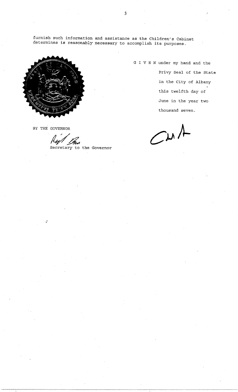furnish such information and assistance as the Children's Cabinet determines is reasonably necessary to accomplish its purposes.



G I V E N under my hand and the Privy Seal of the State in the City of Albany this twelfth day of June in the year two thousand seven.

 $Cwt$ 

BY THE GOVERNOR

Lan

Secretary to the Governor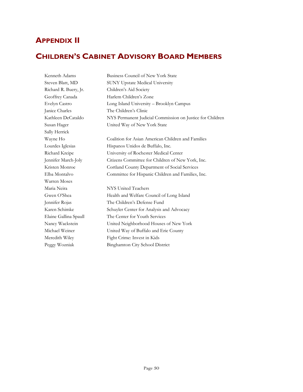# **APPENDIX II**

# **CHILDREN'S CABINET ADVISORY BOARD MEMBERS**

Kenneth Adams Business Council of New York State Steven Blatt, MD SUNY Upstate Medical University Richard R. Buery, Jr. Children's Aid Society Geoffrey Canada Harlem Children's Zone Evelyn Castro Long Island University – Brooklyn Campus Janice Charles The Children's Clinic Kathleen DeCataldo NYS Permanent Judicial Commission on Justice for Children Susan Hager United Way of New York State Sally Herrick Wayne Ho Coalition for Asian American Children and Families Lourdes Iglesias Hispanos Unidos de Buffalo, Inc. Richard Kreipe University of Rochester Medical Center Jennifer March-Joly Citizens Committee for Children of New York, Inc. Kristen Monroe Cortland County Department of Social Services Elba Montalvo Committee for Hispanic Children and Families, Inc. Warren Moses Maria Neira NYS United Teachers Gwen O'Shea Health and Welfare Council of Long Island Jennifer Rojas The Children's Defense Fund Karen Schimke Schuyler Center for Analysis and Advocacy Elaine Gallina Spaull The Center for Youth Services Nancy Wackstein United Neighborhood Houses of New York Michael Weiner United Way of Buffalo and Erie County Meredith Wiley Fight Crime: Invest in Kids Peggy Wozniak Binghamton City School District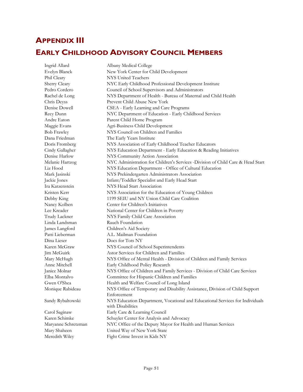# **APPENDIX III EARLY CHILDHOOD ADVISORY COUNCIL MEMBERS**

Ingrid Allard Albany Medical College Evelyn Blanck New York Center for Child Development Phil Cleary NYS United Teachers Sherry Cleary NYC Early Childhood Professional Development Institute Pedro Cordero Council of School Supervisors and Administrators Rachel de Long NYS Department of Health - Bureau of Maternal and Child Health Chris Deyss Prevent Child Abuse New York Denise Dowell CSEA - Early Learning and Care Programs Recy Dunn NYC Department of Education - Early Childhood Services Andre Eaton Parent Child Home Program Maggie Evans **Agri-Business Child Development** Bob Frawley NYS Council on Children and Families Dana Friedman The Early Years Institute Doris Fromberg NYS Association of Early Childhood Teacher Educators Cindy Gallagher NYS Education Department - Early Education & Reading Initiatives Denise Harlow NYS Community Action Association Melanie Hartzog NYC Administration for Children's Services -Division of Child Care & Head Start Liz Hood NYS Education Department - Office of Cultural Education Mark Jasinski NYS Prekindergarten Administrators Association Jackie Jones Infant/Toddler Specialist and Early Head Start Ira Katzenstein NYS Head Start Association Kristen Kerr NYS Association for the Education of Young Children Debby King 1199 SEIU and NY Union Child Care Coalition Nancy Kolben Center for Children's Initiatives Lee Kreader National Center for Children in Poverty Trudy Lackner NYS Family Child Care Association Linda Landsman Rauch Foundation James Langford Children's Aid Society Patti Lieberman A.L. Mailman Foundation Dina Lieser Docs for Tots NY Karen McGraw NYS Council of School Superintendents Jim McGuirk Astor Services for Children and Families Mary McHugh NYS Office of Mental Health - Division of Children and Family Services Anne Mitchell Early Childhood Policy Research Janice Molnar NYS Office of Children and Family Services - Division of Child Care Services Elba Montalvo Committee for Hispanic Children and Families Gwen O'Shea Health and Welfare Council of Long Island Monique Rabideau NYS Office of Temporary and Disability Assistance, Division of Child Support Enforcement Sandy Rybaltowski NYS Education Department, Vocational and Educational Services for Individuals with Disabilities Carol Saginaw Early Care & Learning Council Karen Schimke Schuyler Center for Analysis and Advocacy Maryanne Schretzman NYC Office of the Deputy Mayor for Health and Human Services Mary Shaheen United Way of New York State

Meredith Wiley Fight Crime Invest in Kids NY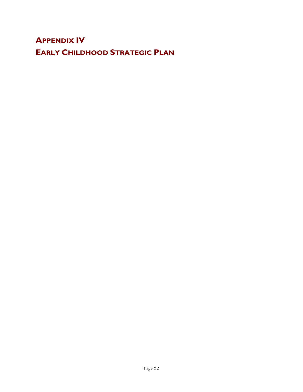# **APPENDIX IV EARLY CHILDHOOD STRATEGIC PLAN**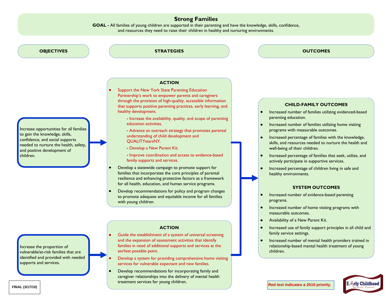# **Strong Families**

**GOAL -** All families of young children are supported in their parenting and have the knowledge, skills, confidence, and resources they need to raise their children in healthy and nurturing environments.



Increase opportunities for all families to gain the knowledge, skills, confidence, and social supports needed to nurture the health, safety, and positive development of

**STRATEGIES**

### **ACTION**

- Support the New York State Parenting Education Partnership's work to empower parents and caregivers through the provision of high-quality, accessible information that supports positive parenting practices, early learning, and healthy development.
	- **-** Increase the availability, quality, and scope of parenting education activities.
	- **-** Advance an outreach strategy that promotes parental understanding of child development and QUALITYstarsNY.
	- **-** Develop a New Parent Kit.

**-** Improve coordination and access to evidence-based family supports and services.

- Develop a statewide campaign to promote support for families that incorporates the core principles of parental resilience and enhancing protective factors as a framework for all health, education, and human service programs.
- Develop recommendations for policy and program changes to promote adequate and equitable income for all families with young children.

# **ACTION**

- Guide the establishment of a system of universal screening and the expansion of assessment activities that identify families in need of additional supports and services at the earliest possible point.
- Develop a system for providing comprehensive home visiting services for vulnerable expectant and new families.
- Develop recommendations for incorporating family and caregiver relationships into the delivery of mental health treatment services for young children. **FINAL (3/17/10) Red text indicates a 2010 priority.**



### **CHILD-FAMILY OUTCOMES**

- $\bullet$ Increased number of families utilizing evidenced-based parenting education.
- Increased number of families utilizing home visiting programs with measurable outcomes.
- Increased percentage of families with the knowledge, skills, and resources needed to nurture the health and well-being of their children.
- Increased percentage of families that seek, utilize, and actively participate in supportive services.
- Increased percentage of children living in safe and healthy environments.

#### **SYSTEM OUTCOMES**

- Increased number of evidence-based parenting programs.
- Increased number of home visiting programs with  $\bullet$ measurable outcomes.
- Availability of a New Parent Kit.
- Increased use of family support principles in all child and family service settings.
- Increased number of mental health providers trained in relationship-based mental health treatment of young children.



Increase the proportion of vulnerable/at-risk families that are identified and provided with needed supports and services.

children.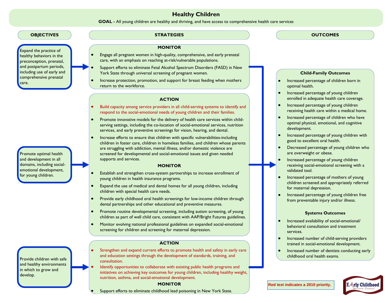# **Healthy Children**

**GOAL -** All young children are healthy and thriving, and have access to comprehensive health care services

### **OBJECTIVES STRATEGIES OUTCOMES**

Expand the practice of healthy behaviors in the preconception, prenatal, and postpartum periods, including use of early and comprehensive prenatal care.

Promote optimal health and development in all domains, including socialemotional development, for young children.

Provide children with safe and healthy environments in which to grow and develop.

### **MONITOR**

- $\bullet$ Engage all pregnant women in high-quality, comprehensive, and early prenatal care, with an emphasis on reaching at-risk/vulnerable populations.
- Support efforts to eliminate Fetal Alcohol Spectrum Disorders (FASD) in New York State through universal screening of pregnant women.
- Increase protection, promotion, and support for breast feeding when mothers  $\bullet$ return to the workforce.

### **ACTION**

- $\bullet$ Build capacity among service providers in all child-serving systems to identify and respond to the social-emotional needs of young children and their families.
- $\bullet$ Promote innovative models for the delivery of health care services within childserving settings, including the co-location of social-emotional services, nutrition services, and early preventive screenings for vision, hearing, and dental.
- $\bullet$ Increase efforts to ensure that children with specific vulnerabilities-including children in foster care, children in homeless families, and children whose parents are struggling with addiction, mental illness, and/or domestic violence are screened for developmental and social-emotional issues and given needed supports and services.

### **MONITOR**

- Establish and strengthen cross-system partnerships to increase enrollment of  $\bullet$ young children in health insurance programs.
- Expand the use of medical and dental homes for all young children, including  $\bullet$ children with special health care needs.
- $\bullet$ Provide early childhood oral health screenings for low-income children through dental partnerships and other educational and preventive measures.
- $\bullet$ Promote routine developmental screening, including autism screening, of young children as part of well child care, consistent with AAP/Bright Futures guidelines.
- $\bullet$ Monitor evolving national professional guidelines on expanded social-emotional screening for children and screening for maternal depression.

#### **ACTION**

- $\bullet$ Strengthen and expand current efforts to promote health and safety in early care and education settings through the development of standards, training, and consultation.
- Identify opportunities to collaborate with existing public health programs and initiatives on achieving key outcomes for young children, including healthy weight, nutrition, asthma, and social-emotional development.

### **MONITOR**

Support efforts to eliminate childhood lead poisoning in New York State.

#### **Child-Family Outcomes**

- Increased percentage of children born in optimal health.
- Increased percentage of young children enrolled in adequate health care coverage.
- Increased percentage of young children receiving health care within a medical home.
- $\bullet$ Increased percentage of children who have optimal physical, emotional, and cognitive development.
- Increased percentage of young children with  $\bullet$ good to excellent oral health.
- Decreased percentage of young children who are overweight or obese.
- $\bullet$ Increased percentage of young children receiving social-emotional screening with a validated tool.
- $\bullet$ Increased percentage of mothers of young children screened and appropriately referred for maternal depression.
- $\bullet$ Increased percentage of young children free from preventable injury and/or illness.

#### **Systems Outcomes**

- $\bullet$ Increased availability of social-emotional/ behavioral consultation and treatment services.
- $\bullet$ Increased number of child-serving providers trained in social-emotional development.
- Increased number of dentists conducting early  $\bullet$ childhood oral health exams.

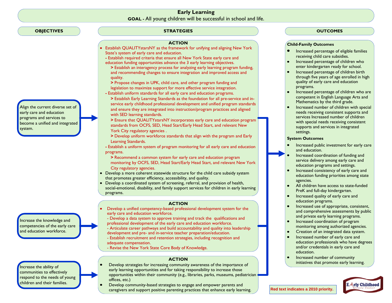# **Early Learning GOAL -** All young children will be successful in school and life.

### **OBJECTIVES**

#### Align the current diverse set of early care and education programs and services to become a unified and integrated system.

Increase the knowledge and competencies of the early care and education workforce.

Increase the ability of communities to effectively respond to the needs of young children and their families.

### **STRATEGIES**

#### **ACTION**

- Establish QUALITYstarsNY as the framework for unifying and aligning New York State's system of early care and education.
- **-** Establish required criteria that ensure all New York State early care and education funding opportunities advance the 3 early learning objectives.
- **>** Establish an interagency process for analyzing early learning program funding, and recommending changes to ensure integration and improved access and quality.
- **>** Propose changes in UPK, child care, and other program funding and legislation to maximize support for more effective service integration.
- **-** Establish uniform standards for all early care and education programs.
- **>** Establish Early Learning Standards as the foundation for all pre-service and inservice early childhood professional development and unified program standards and ensure they are integrated into instruction/program practices and aligned with SED learning standards.
- **>** Ensure that QUALITYstarsNY incorporates early care and education program standards from OCFS, SED, Head Start/Early Head Start, and relevant New York City regulatory agencies .
- **>** Develop uniform workforce standards that align with the program and Early Learning Standards.
- **-** Establish a uniform system of program monitoring for all early care and education programs.
- **<sup>&</sup>gt;**Recommend a common system for early care and education program monitoring by OCFS, SED, Head Start/Early Head Start, and relevant New York City regulatory agencies.
- Develop a more coherent statewide structure for the child care subsidy system that promotes greater efficiency, accessibility, and quality.
- Develop a coordinated system of screening, referral, and provision of health, social-emotional, disability, and family support services for children in early learning programs.

#### **ACTION**

- Develop a unified competency-based professional development system for the early care and education workforce.
- Develop a data system to approve training and track the qualifications and professional development of the early care and education workforce.
- Articulate career pathways and build accountability and quality into leadership development and pre- and in-service teacher preparation/education.
- Establish recruitment and retention strategies, including recognition and adequate compensation.
- Revise the New York State Core Body of Knowledge.

### **ACTION**

- Develop strategies for increasing community awareness of the importance of early learning opportunities and for taking responsibility to increase those opportunities within their community (e.g., libraries, parks, museums, pediatrician offices, etc.)
	- Develop community-based strategies to engage and empower parents and caregivers and support positive parenting practices that enhance early learning.

### **OUTCOMES**

#### **Child-Family Outcomes**

- Increased percentage of eligible families receiving child care subsidies.
- Increased percentage of children who enter kindergarten ready for school.
- Increased percentage of children birth through five years of age enrolled in high quality of early care and education programs.
- Increased percentage of children who are competent in English Language Arts and Mathematics by the third grade.
- $\bullet$ Increased number of children with special needs receiving consistent supports and services Increased number of children with special needs receiving consistent supports and services in integrated settings.

#### **System Outcomes**

- $\bullet$ Increased public investment for early care and education.
- Increased coordination of funding and service delivery among early care and education programs and settings.
- Increased consistency of early care and education funding priorities among state agencies.
- All children have access to state-funded PreK and full-day kindergarten.
- Increased quality of early care and  $\bullet$ education programs.
- Increased use of appropriate, consistent,  $\bullet$ and comprehensive assessments by public and private early learning programs.
- Increased coordination of program  $\bullet$ monitoring among authorized agencies.
- $\bullet$ Creation of an integrated data system.
- Increased number of early care and education professionals who have degrees and/or credentials in early care and education.
- $\bullet$ Increased number of community initiatives that promote early learning.



**Red text indicates a 2010 priority.**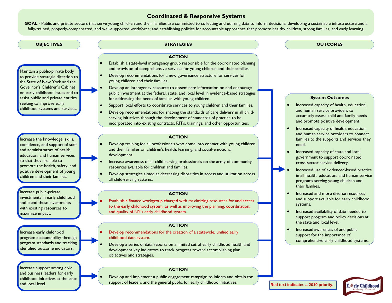# **Coordinated & Responsive Systems**

**GOAL -** Public and private sectors that serve young children and their families are committed to collecting and utilizing data to inform decisions; developing a sustainable infrastructure and a fully-trained, properly-compensated, and well-supported workforce; and establishing policies for accountable approaches that promote healthy children, strong families, and early learning.

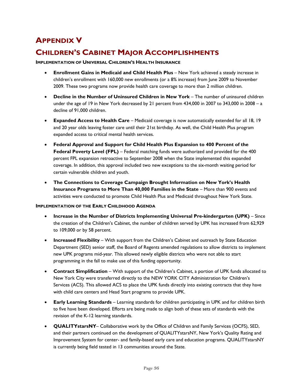# **APPENDIX V**

# **CHILDREN'S CABINET MAJOR ACCOMPLISHMENTS**

### **IMPLEMENTATION OF UNIVERSAL CHILDREN'S HEALTH INSURANCE**

- **Enrollment Gains in Medicaid and Child Health Plus**  New York achieved a steady increase in children's enrollment with 160,000 new enrollments (or a 8% increase) from June 2009 to November 2009. These two programs now provide health care coverage to more than 2 million children.
- **Decline in the Number of Uninsured Children in New York**  The number of uninsured children under the age of 19 in New York decreased by 21 percent from 434,000 in 2007 to 343,000 in 2008 – a decline of 91,000 children.
- **Expanded Access to Health Care**  Medicaid coverage is now automatically extended for all 18, 19 and 20 year olds leaving foster care until their 21st birthday. As well, the Child Health Plus program expanded access to critical mental health services.
- **Federal Approval and Support for Child Health Plus Expansion to 400 Percent of the Federal Poverty Level (FPL)** – Federal matching funds were authorized and provided for the 400 percent FPL expansion retroactive to September 2008 when the State implemented this expanded coverage. In addition, this approval included two new exceptions to the six-month waiting period for certain vulnerable children and youth.
- **The Connections to Coverage Campaign Brought Information on New York's Health Insurance Programs to More Than 40,000 Families in the State – More than 900 events and** activities were conducted to promote Child Health Plus and Medicaid throughout New York State.

### **IMPLEMENTATION OF THE EARLY CHILDHOOD AGENDA**

- **Increase in the Number of Districts Implementing Universal Pre-kindergarten (UPK)** Since the creation of the Children's Cabinet, the number of children served by UPK has increased from 62,929 to 109,000 or by 58 percent.
- **Increased Flexibility**  With support from the Children's Cabinet and outreach by State Education Department (SED) senior staff, the Board of Regents amended regulations to allow districts to implement new UPK programs mid-year. This allowed newly eligible districts who were not able to start programming in the fall to make use of this funding opportunity.
- **Contract Simplification**  With support of the Children's Cabinet, a portion of UPK funds allocated to New York City were transferred directly to the NEW YORK CITY Administration for Children's Services (ACS). This allowed ACS to place the UPK funds directly into existing contracts that they have with child care centers and Head Start programs to provide UPK.
- **Early Learning Standards**  Learning standards for children participating in UPK and for children birth to five have been developed. Efforts are being made to align both of these sets of standards with the revision of the K-12 learning standards.
- **QUALITYstarsNY** Collaborative work by the Office of Children and Family Services (OCFS), SED, and their partners continued on the development of QUALITYstarsNY, New York's Quality Rating and Improvement System for center- and family-based early care and education programs. QUALITYstarsNY is currently being field tested in 13 communities around the State.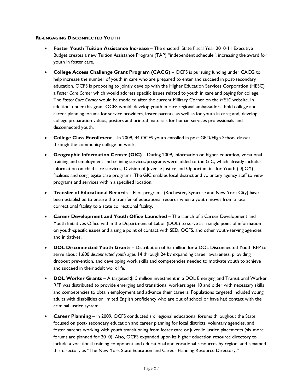### **RE-ENGAGING DISCONNECTED YOUTH**

- **Foster Youth Tuition Assistance Increase**  The enacted State Fiscal Year 2010-11 Executive Budget creates a new Tuition Assistance Program (TAP) "independent schedule", increasing the award for youth in foster care.
- **College Access Challenge Grant Program (CACG)**  OCFS is pursuing funding under CACG to help increase the number of youth in care who are prepared to enter and succeed in post-secondary education. OCFS is proposing to jointly develop with the Higher Education Services Corporation (HESC) a *Foster Care Corner* which would address specific issues related to youth in care and paying for college. The *Foster Care Corner* would be modeled after the current Military Corner on the *HESC* website. In addition, under this grant OCFS would: develop youth in care regional ambassadors; hold college and career planning forums for service providers, foster parents, as well as for youth in care; and, develop college preparation videos, posters and printed materials for human services professionals and disconnected youth.
- **College Class Enrollment**  In 2009, 44 OCFS youth enrolled in post GED/High School classes through the community college network.
- **Geographic Information Center (GIC)** During 2009, information on higher education, vocational training and employment and training services/programs were added to the GIC, which already includes information on child care services, Division of Juvenile Justice and Opportunities for Youth (DJJOY) facilities and congregate care programs. The GIC enables local district and voluntary agency staff to view programs and services within a specified location.
- **Transfer of Educational Records** Pilot programs (Rochester, Syracuse and New York City) have been established to ensure the transfer of educational records when a youth moves from a local correctional facility to a state correctional facility.
- **Career Development and Youth Office Launched**  The launch of a Career Development and Youth Initiatives Office within the Department of Labor (DOL) to serve as a single point of information on youth-specific issues and a single point of contact with SED, OCFS, and other youth-serving agencies and initiatives.
- **DOL Disconnected Youth Grants** Distribution of \$5 million for a DOL Disconnected Youth RFP to serve about 1,600 *disconnected youth* ages 14 through 24 by expanding career awareness, providing dropout prevention, and developing work skills and competencies needed to motivate youth to achieve and succeed in their adult work life.
- **DOL Worker Grants**  A targeted \$15 million investment in a DOL Emerging and Transitional Worker RFP was distributed to provide emerging and transitional workers ages 18 and older with necessary skills and competencies to obtain employment and advance their careers. Populations targeted included young adults with disabilities or limited English proficiency who are out of school or have had contact with the criminal justice system.
- **Career Planning**  In 2009, OCFS conducted six regional educational forums throughout the State focused on post- secondary education and career planning for local districts, voluntary agencies, and foster parents working with youth transitioning from foster care or juvenile justice placements (six more forums are planned for 2010). Also, OCFS expanded upon its higher education resource directory to include a vocational training component and educational and vocational resources by region, and renamed this directory as "The New York State Education and Career Planning Resource Directory."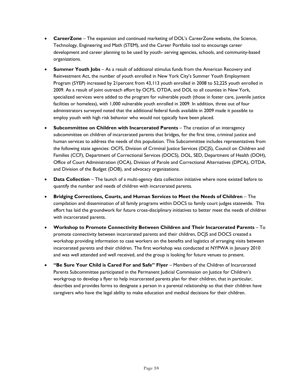- **CareerZone**  The expansion and continued marketing of DOL's CareerZone website, the Science, Technology, Engineering and Math (STEM), and the Career Portfolio tool to encourage career development and career planning to be used by youth- serving agencies, schools, and community-based organizations.
- **Summer Youth Jobs**  As a result of additional stimulus funds from the American Recovery and Reinvestment Act, the number of youth enrolled in New York City's Summer Youth Employment Program (SYEP) increased by 21percent from 43,113 youth enrolled in 2008 to 52,225 youth enrolled in 2009. As a result of joint outreach effort by OCFS, OTDA, and DOL to all counties in New York, specialized services were added to the program for vulnerable youth (those in foster care, juvenile justice facilities or homeless), with 1,000 vulnerable youth enrolled in 2009. In addition, three out of four administrators surveyed noted that the additional federal funds available in 2009 made it possible to employ youth with high risk behavior who would not typically have been placed.
- **Subcommittee on Children with Incarcerated Parents** The creation of an interagency subcommittee on children of incarcerated parents that bridges, for the first time, criminal justice and human services to address the needs of this population. This Subcommittee includes representatives from the following state agencies: OCFS, Division of Criminal Justice Services (DCJS), Council on Children and Families (CCF), Department of Correctional Services (DOCS), DOL, SED, Department of Health (DOH), Office of Court Administration (OCA), Division of Parole and Correctional Alternatives (DPCA), OTDA, and Division of the Budget (DOB), and advocacy organizations.
- **Data Collection**  The launch of a multi-agency data collection initiative where none existed before to quantify the number and needs of children with incarcerated parents.
- **Bridging Corrections, Courts, and Human Services to Meet the Needs of Children** The compilation and dissemination of all family programs within DOCS to family court judges statewide. This effort has laid the groundwork for future cross-disciplinary initiatives to better meet the needs of children with incarcerated parents.
- **Workshop to Promote Connectivity Between Children and Their Incarcerated Parents** To promote connectivity between incarcerated parents and their children, DCJS and DOCS created a workshop providing information to case workers on the benefits and logistics of arranging visits between incarcerated parents and their children. The first workshop was conducted at NYPWA in January 2010 and was well attended and well received, and the group is looking for future venues to present.
- **"Be Sure Your Child is Cared For and Safe" Flyer** Members of the Children of Incarcerated Parents Subcommittee participated in the Permanent Judicial Commission on Justice for Children's workgroup to develop a flyer to help incarcerated parents plan for their children, that in particular, describes and provides forms to designate a person in a parental relationship so that their children have caregivers who have the legal ability to make education and medical decisions for their children.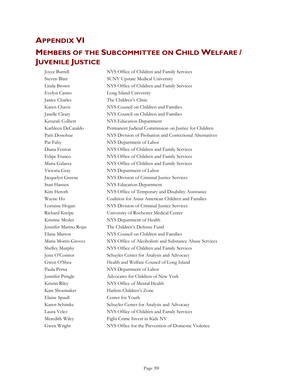# **APPENDIX VI**

# **MEMBERS OF THE SUBCOMMITTEE ON CHILD WELFARE / JUVENILE JUSTICE**

Joyce Burrell NYS Office of Children and Family Services Steven Blatt SUNY Upstate Medical University Linda Brown NYS Office of Children and Family Services Evelyn Castro Long Island University Janice Charles The Children's Clinic Karen Chavis NYS Council on Children and Families Janelle Cleary NYS Council on Children and Families Keturah Colbert NYS Education Department Kathleen DeCataldo Permanent Judicial Commission on Justice for Children Patti Donohue NYS Division of Probation and Correctional Alternatives Pat Fahy NYS Department of Labor Diana Fenton NYS Office of Children and Family Services Felipe Franco NYS Office of Children and Family Services Maria Galarza NYS Office of Children and Family Services Victoria Gray NYS Department of Labor Jacquelyn Greene NYS Division of Criminal Justice Services Stan Hansen NYS Education Department Kim Heroth NYS Office of Temporary and Disability Assistance Wayne Ho Coalition for Asian American Children and Families Lorraine Hogan NYS Division of Criminal Justice Services Richard Kreipe University of Rochester Medical Center Kristine Mesler NYS Department of Health Jennifer Marino Rojas The Children's Defense Fund Elana Marton NYS Council on Children and Families Maria Morris-Groves NYS Office of Alcoholism and Substance Abuse Services Shelley Murphy NYS Office of Children and Family Services Jenn O'Connor Schuyler Center for Analysis and Advocacy Gwen O'Shea Health and Welfare Council of Long Island Paula Perna NYS Department of Labor Jennifer Pringle Advocates for Children of New York Kristin Riley NYS Office of Mental Health Kate Shoemaker Harlem Children's Zone Elaine Spaull Center for Youth Karen Schimke Schuyler Center for Analysis and Advocacy Laura Velez NYS Office of Children and Family Services Meredith Wiley Fight Crime Invest in Kids NY Gwen Wright NYS Office for the Prevention of Domestic Violence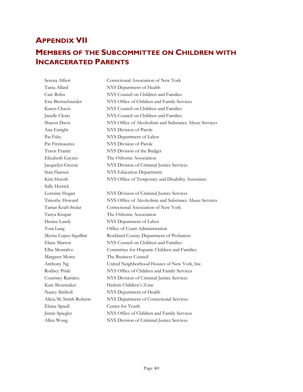# **APPENDIX VII**

# **MEMBERS OF THE SUBCOMMITTEE ON CHILDREN WITH INCARCERATED PARENTS**

Serena Alfieri Correctional Association of New York Tania Allard NYS Department of Health Cate Bohn NYS Council on Children and Families Eric Brettschneider NYS Office of Children and Family Services Karen Chavis NYS Council on Children and Families Janelle Cleary NYS Council on Children and Families Sharon Davis NYS Office of Alcoholism and Substance Abuse Services Ana Enright NYS Division of Parole Pat Fahy NYS Department of Labor Pat Fitzmaurice NYS Division of Parole Travis Frantti NYS Division of the Budget Elizabeth Gaynes The Osborne Association Jacquelyn Greene NYS Division of Criminal Justice Services Stan Hansen NYS Education Department Kim Heroth NYS Office of Temporary and Disability Assistance Sally Herrick Lorraine Hogan NYS Division of Criminal Justice Services Timothy Howard NYS Office of Alcoholism and Substance Abuse Services Tamar Kraft-Stolar Correctional Association of New York Tanya Krupat The Osborne Association Denise Landy NYS Department of Labor Toni Lang Office of Court Administration Myrna Lopez-Squillini Rockland County Department of Probation Elana Marton NYS Council on Children and Families Elba Montalvo Committee for Hispanic Children and Families Margaret Moree The Business Council Anthony Ng United Neighborhood Houses of New York, Inc. Rodney Pride NYS Office of Children and Family Services Courtney Ramirez NYS Division of Criminal Justice Services Kate Shoemaker Harlem Children's Zone Nancy Simboli NYS Department of Health Alicia M. Smith-Roberts NYS Department of Correctional Services Elaine Spaull Center for Youth Jinnie Spiegler NYS Office of Children and Family Services Allen Wong NYS Division of Criminal Justice Services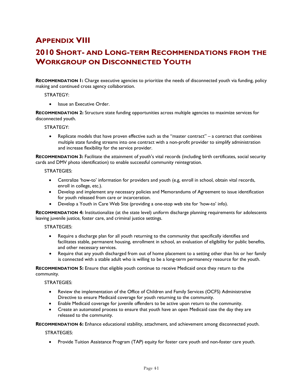# **APPENDIX VIII**

# **2010 SHORT- AND LONG-TERM RECOMMENDATIONS FROM THE WORKGROUP ON DISCONNECTED YOUTH**

**RECOMMENDATION 1:** Charge executive agencies to prioritize the needs of disconnected youth via funding, policy making and continued cross agency collaboration.

STRATEGY:

• Issue an Executive Order.

**RECOMMENDATION 2:** Structure state funding opportunities across multiple agencies to maximize services for disconnected youth.

STRATEGY:

• Replicate models that have proven effective such as the "master contract" – a contract that combines multiple state funding streams into one contract with a non-profit provider to simplify administration and increase flexibility for the service provider.

**RECOMMENDATION 3:** Facilitate the attainment of youth's vital records (including birth certificates, social security cards and DMV photo identification) to enable successful community reintegration.

STRATEGIES:

- Centralize 'how-to' information for providers and youth (e.g, enroll in school, obtain vital records, enroll in college, etc.).
- Develop and implement any necessary policies and Memorandums of Agreement to issue identification for youth released from care or incarceration.
- Develop a Youth in Care Web Site (providing a one-stop web site for 'how-to' info).

**RECOMMENDATION 4:** Institutionalize (at the state level) uniform discharge planning requirements for adolescents leaving juvenile justice, foster care, and criminal justice settings.

STRATEGIES:

- Require a discharge plan for all youth returning to the community that specifically identifies and facilitates stable, permanent housing, enrollment in school, an evaluation of eligibility for public benefits, and other necessary services.
- Require that any youth discharged from out of home placement to a setting other than his or her family is connected with a stable adult who is willing to be a long-term permanency resource for the youth.

**RECOMMENDATION 5:** Ensure that eligible youth continue to receive Medicaid once they return to the community.

STRATEGIES:

- Review the implementation of the Office of Children and Family Services (OCFS) Administrative Directive to ensure Medicaid coverage for youth returning to the community.
- Enable Medicaid coverage for juvenile offenders to be active upon return to the community.
- Create an automated process to ensure that youth have an open Medicaid case the day they are released to the community.

**RECOMMENDATION 6:** Enhance educational stability, attachment, and achievement among disconnected youth.

STRATEGIES:

• Provide Tuition Assistance Program (TAP) equity for foster care youth and non-foster care youth.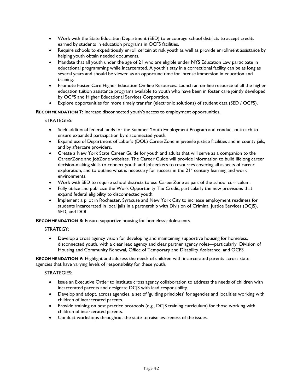- Work with the State Education Department (SED) to encourage school districts to accept credits earned by students in education programs in OCFS facilities.
- Require schools to expeditiously enroll certain at risk youth as well as provide enrollment assistance by helping youth obtain needed documents.
- Mandate that all youth under the age of 21 who are eligible under NYS Education Law participate in educational programming while incarcerated. A youth's stay in a correctional facility can be as long as several years and should be viewed as an opportune time for intense immersion in education and training.
- Promote Foster Care Higher Education On-line Resources. Launch an on-line resource of all the higher education tuition assistance programs available to youth who have been in foster care jointly developed by OCFS and Higher Educational Services Corporation.
- Explore opportunities for more timely transfer (electronic solutions) of student data (SED / OCFS).

**RECOMMENDATION 7:** Increase disconnected youth's access to employment opportunities.

STRATEGIES:

- Seek additional federal funds for the Summer Youth Employment Program and conduct outreach to ensure expanded participation by disconnected youth.
- Expand use of Department of Labor's (DOL) CareerZone in juvenile justice facilities and in county jails, and by aftercare providers.
- Create a New York State Career Guide for youth and adults that will serve as a companion to the CareerZone and JobZone websites. The Career Guide will provide information to build lifelong career decision-making skills to connect youth and jobseekers to resources covering all aspects of career exploration, and to outline what is necessary for success in the  $21<sup>st</sup>$  century learning and work environments.
- Work with SED to require school districts to use CareerZone as part of the school curriculum.
- Fully utilize and publicize the Work Opportunity Tax Credit, particularly the new provisions that expand federal eligibility to disconnected youth.
- Implement a pilot in Rochester, Syracuse and New York City to increase employment readiness for students incarcerated in local jails in a partnership with Division of Criminal Justice Services (DCJS), SED, and DOL.

**RECOMMENDATION 8:** Ensure supportive housing for homeless adolescents.

STRATEGY:

• Develop a cross agency vision for developing and maintaining supportive housing for homeless, disconnected youth, with a clear lead agency and clear partner agency roles—particularly Division of Housing and Community Renewal, Office of Temporary and Disability Assistance, and OCFS.

**RECOMMENDATION 9:** Highlight and address the needs of children with incarcerated parents across state agencies that have varying levels of responsibility for these youth.

STRATEGIES:

- Issue an Executive Order to institute cross agency collaboration to address the needs of children with incarcerated parents and designate DCJS with lead responsibility.
- Develop and adopt, across agencies, a set of 'guiding principles' for agencies and localities working with children of incarcerated parents.
- Provide training on best practice protocols (e.g., DCJS training curriculum) for those working with children of incarcerated parents.
- Conduct workshops throughout the state to raise awareness of the issues.